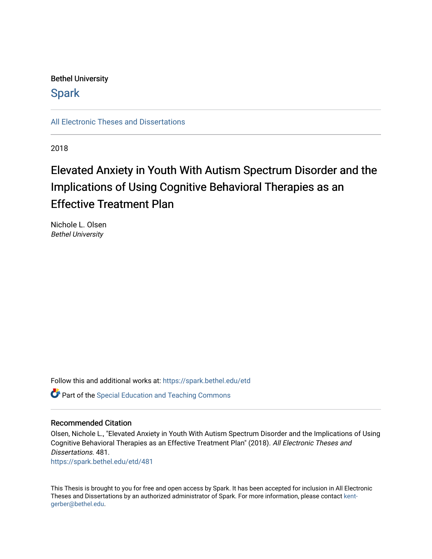Bethel University

**Spark** 

[All Electronic Theses and Dissertations](https://spark.bethel.edu/etd) 

2018

# Elevated Anxiety in Youth With Autism Spectrum Disorder and the Implications of Using Cognitive Behavioral Therapies as an **Effective Treatment Plan**

Nichole L. Olsen Bethel University

Follow this and additional works at: [https://spark.bethel.edu/etd](https://spark.bethel.edu/etd?utm_source=spark.bethel.edu%2Fetd%2F481&utm_medium=PDF&utm_campaign=PDFCoverPages) **C** Part of the Special Education and Teaching Commons

## Recommended Citation

Olsen, Nichole L., "Elevated Anxiety in Youth With Autism Spectrum Disorder and the Implications of Using Cognitive Behavioral Therapies as an Effective Treatment Plan" (2018). All Electronic Theses and Dissertations. 481. [https://spark.bethel.edu/etd/481](https://spark.bethel.edu/etd/481?utm_source=spark.bethel.edu%2Fetd%2F481&utm_medium=PDF&utm_campaign=PDFCoverPages)

This Thesis is brought to you for free and open access by Spark. It has been accepted for inclusion in All Electronic Theses and Dissertations by an authorized administrator of Spark. For more information, please contact [kent](mailto:kent-gerber@bethel.edu)[gerber@bethel.edu.](mailto:kent-gerber@bethel.edu)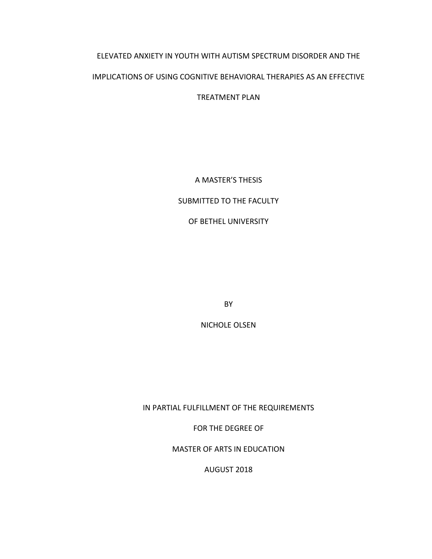# ELEVATED ANXIETY IN YOUTH WITH AUTISM SPECTRUM DISORDER AND THE IMPLICATIONS OF USING COGNITIVE BEHAVIORAL THERAPIES AS AN EFFECTIVE

TREATMENT PLAN

A MASTER'S THESIS

# SUBMITTED TO THE FACULTY

OF BETHEL UNIVERSITY

BY

NICHOLE OLSEN

IN PARTIAL FULFILLMENT OF THE REQUIREMENTS

FOR THE DEGREE OF

MASTER OF ARTS IN EDUCATION

AUGUST 2018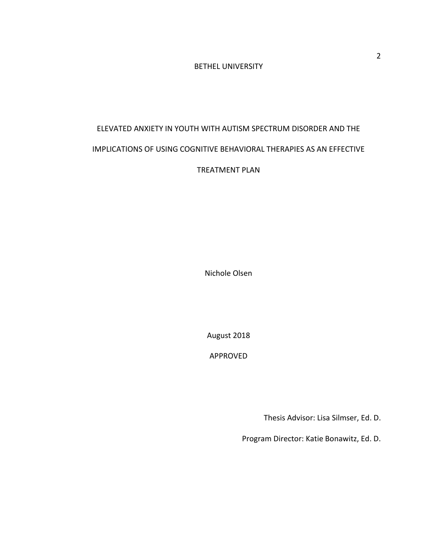# BETHEL UNIVERSITY

# ELEVATED ANXIETY IN YOUTH WITH AUTISM SPECTRUM DISORDER AND THE IMPLICATIONS OF USING COGNITIVE BEHAVIORAL THERAPIES AS AN EFFECTIVE TREATMENT PLAN

Nichole Olsen

August 2018

APPROVED

Thesis Advisor: Lisa Silmser, Ed. D.

Program Director: Katie Bonawitz, Ed. D.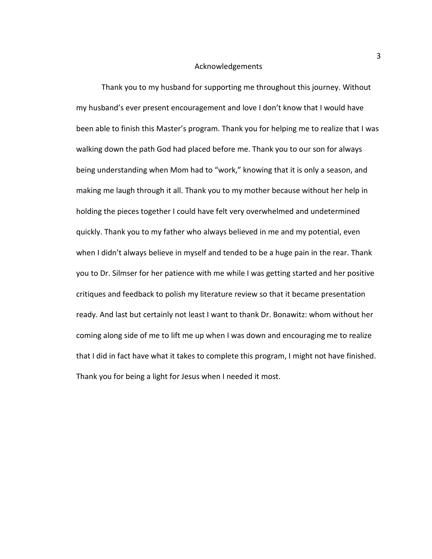#### Acknowledgements

Thank you to my husband for supporting me throughout this journey. Without my husband's ever present encouragement and love I don't know that I would have been able to finish this Master's program. Thank you for helping me to realize that I was walking down the path God had placed before me. Thank you to our son for always being understanding when Mom had to "work," knowing that it is only a season, and making me laugh through it all. Thank you to my mother because without her help in holding the pieces together I could have felt very overwhelmed and undetermined quickly. Thank you to my father who always believed in me and my potential, even when I didn't always believe in myself and tended to be a huge pain in the rear. Thank you to Dr. Silmser for her patience with me while I was getting started and her positive critiques and feedback to polish my literature review so that it became presentation ready. And last but certainly not least I want to thank Dr. Bonawitz: whom without her coming along side of me to lift me up when I was down and encouraging me to realize that I did in fact have what it takes to complete this program, I might not have finished. Thank you for being a light for Jesus when I needed it most.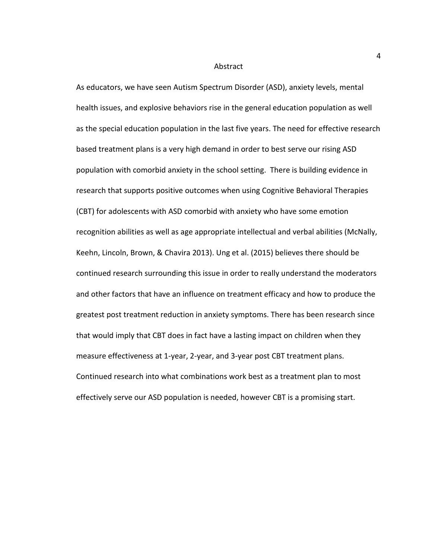#### Abstract

As educators, we have seen Autism Spectrum Disorder (ASD), anxiety levels, mental health issues, and explosive behaviors rise in the general education population as well as the special education population in the last five years. The need for effective research based treatment plans is a very high demand in order to best serve our rising ASD population with comorbid anxiety in the school setting. There is building evidence in research that supports positive outcomes when using Cognitive Behavioral Therapies (CBT) for adolescents with ASD comorbid with anxiety who have some emotion recognition abilities as well as age appropriate intellectual and verbal abilities (McNally, Keehn, Lincoln, Brown, & Chavira 2013). Ung et al. (2015) believes there should be continued research surrounding this issue in order to really understand the moderators and other factors that have an influence on treatment efficacy and how to produce the greatest post treatment reduction in anxiety symptoms. There has been research since that would imply that CBT does in fact have a lasting impact on children when they measure effectiveness at 1-year, 2-year, and 3-year post CBT treatment plans. Continued research into what combinations work best as a treatment plan to most effectively serve our ASD population is needed, however CBT is a promising start.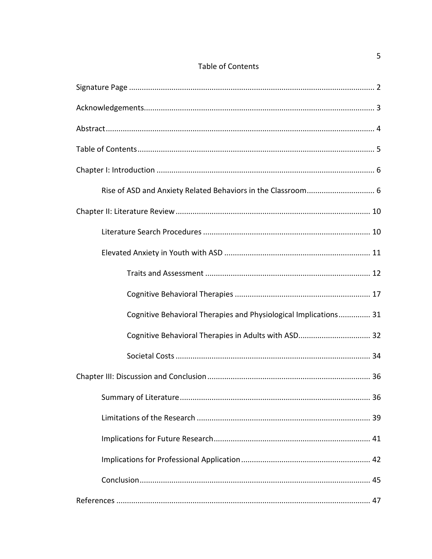| Cognitive Behavioral Therapies and Physiological Implications 31 |
|------------------------------------------------------------------|
| Cognitive Behavioral Therapies in Adults with ASD 32             |
|                                                                  |
|                                                                  |
| 36                                                               |
|                                                                  |
|                                                                  |
|                                                                  |
|                                                                  |
|                                                                  |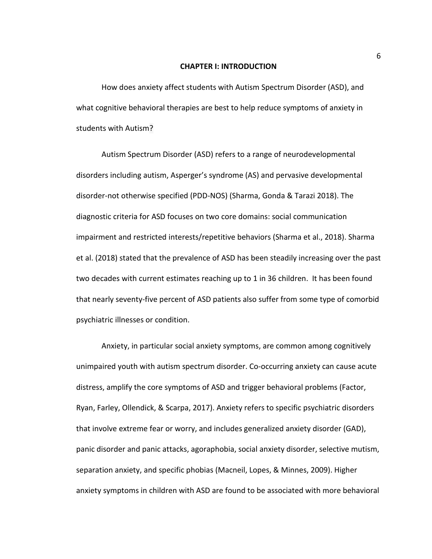#### **CHAPTER I: INTRODUCTION**

How does anxiety affect students with Autism Spectrum Disorder (ASD), and what cognitive behavioral therapies are best to help reduce symptoms of anxiety in students with Autism?

Autism Spectrum Disorder (ASD) refers to a range of neurodevelopmental disorders including autism, Asperger's syndrome (AS) and pervasive developmental disorder-not otherwise specified (PDD-NOS) (Sharma, Gonda & Tarazi 2018). The diagnostic criteria for ASD focuses on two core domains: social communication impairment and restricted interests/repetitive behaviors (Sharma et al., 2018). Sharma et al. (2018) stated that the prevalence of ASD has been steadily increasing over the past two decades with current estimates reaching up to 1 in 36 children. It has been found that nearly seventy-five percent of ASD patients also suffer from some type of comorbid psychiatric illnesses or condition.

Anxiety, in particular social anxiety symptoms, are common among cognitively unimpaired youth with autism spectrum disorder. Co-occurring anxiety can cause acute distress, amplify the core symptoms of ASD and trigger behavioral problems (Factor, Ryan, Farley, Ollendick, & Scarpa, 2017). Anxiety refers to specific psychiatric disorders that involve extreme fear or worry, and includes generalized anxiety disorder (GAD), panic disorder and panic attacks, agoraphobia, social anxiety disorder, selective mutism, separation anxiety, and specific phobias (Macneil, Lopes, & Minnes, 2009). Higher anxiety symptoms in children with ASD are found to be associated with more behavioral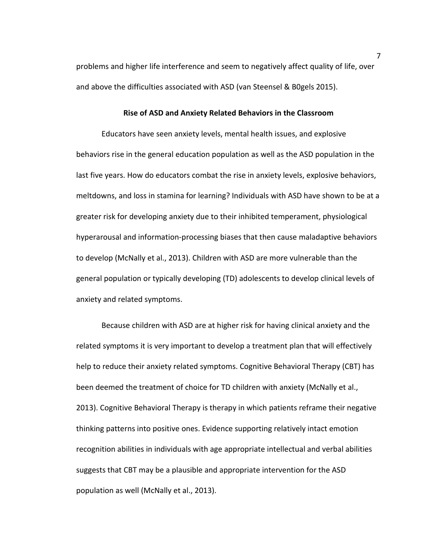problems and higher life interference and seem to negatively affect quality of life, over and above the difficulties associated with ASD (van Steensel & B0gels 2015).

### **Rise of ASD and Anxiety Related Behaviors in the Classroom**

Educators have seen anxiety levels, mental health issues, and explosive behaviors rise in the general education population as well as the ASD population in the last five years. How do educators combat the rise in anxiety levels, explosive behaviors, meltdowns, and loss in stamina for learning? Individuals with ASD have shown to be at a greater risk for developing anxiety due to their inhibited temperament, physiological hyperarousal and information-processing biases that then cause maladaptive behaviors to develop (McNally et al., 2013). Children with ASD are more vulnerable than the general population or typically developing (TD) adolescents to develop clinical levels of anxiety and related symptoms.

Because children with ASD are at higher risk for having clinical anxiety and the related symptoms it is very important to develop a treatment plan that will effectively help to reduce their anxiety related symptoms. Cognitive Behavioral Therapy (CBT) has been deemed the treatment of choice for TD children with anxiety (McNally et al., 2013). Cognitive Behavioral Therapy is therapy in which patients reframe their negative thinking patterns into positive ones. Evidence supporting relatively intact emotion recognition abilities in individuals with age appropriate intellectual and verbal abilities suggests that CBT may be a plausible and appropriate intervention for the ASD population as well (McNally et al., 2013).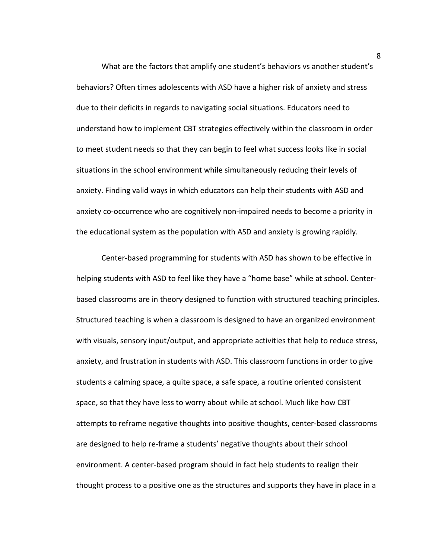What are the factors that amplify one student's behaviors vs another student's behaviors? Often times adolescents with ASD have a higher risk of anxiety and stress due to their deficits in regards to navigating social situations. Educators need to understand how to implement CBT strategies effectively within the classroom in order to meet student needs so that they can begin to feel what success looks like in social situations in the school environment while simultaneously reducing their levels of anxiety. Finding valid ways in which educators can help their students with ASD and anxiety co-occurrence who are cognitively non-impaired needs to become a priority in the educational system as the population with ASD and anxiety is growing rapidly.

Center-based programming for students with ASD has shown to be effective in helping students with ASD to feel like they have a "home base" while at school. Centerbased classrooms are in theory designed to function with structured teaching principles. Structured teaching is when a classroom is designed to have an organized environment with visuals, sensory input/output, and appropriate activities that help to reduce stress, anxiety, and frustration in students with ASD. This classroom functions in order to give students a calming space, a quite space, a safe space, a routine oriented consistent space, so that they have less to worry about while at school. Much like how CBT attempts to reframe negative thoughts into positive thoughts, center-based classrooms are designed to help re-frame a students' negative thoughts about their school environment. A center-based program should in fact help students to realign their thought process to a positive one as the structures and supports they have in place in a

8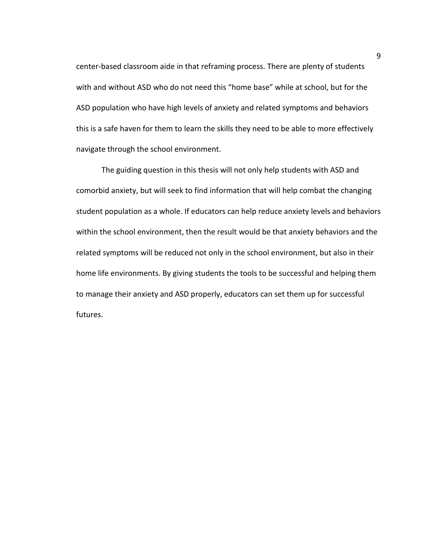center-based classroom aide in that reframing process. There are plenty of students with and without ASD who do not need this "home base" while at school, but for the ASD population who have high levels of anxiety and related symptoms and behaviors this is a safe haven for them to learn the skills they need to be able to more effectively navigate through the school environment.

The guiding question in this thesis will not only help students with ASD and comorbid anxiety, but will seek to find information that will help combat the changing student population as a whole. If educators can help reduce anxiety levels and behaviors within the school environment, then the result would be that anxiety behaviors and the related symptoms will be reduced not only in the school environment, but also in their home life environments. By giving students the tools to be successful and helping them to manage their anxiety and ASD properly, educators can set them up for successful futures.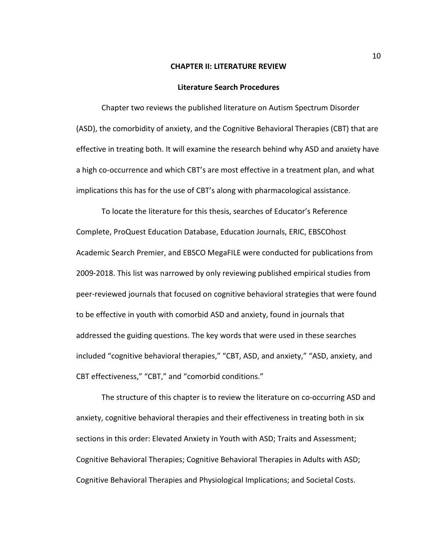#### **CHAPTER II: LITERATURE REVIEW**

#### **Literature Search Procedures**

Chapter two reviews the published literature on Autism Spectrum Disorder (ASD), the comorbidity of anxiety, and the Cognitive Behavioral Therapies (CBT) that are effective in treating both. It will examine the research behind why ASD and anxiety have a high co-occurrence and which CBT's are most effective in a treatment plan, and what implications this has for the use of CBT's along with pharmacological assistance.

To locate the literature for this thesis, searches of Educator's Reference Complete, ProQuest Education Database, Education Journals, ERIC, EBSCOhost Academic Search Premier, and EBSCO MegaFILE were conducted for publications from 2009-2018. This list was narrowed by only reviewing published empirical studies from peer-reviewed journals that focused on cognitive behavioral strategies that were found to be effective in youth with comorbid ASD and anxiety, found in journals that addressed the guiding questions. The key words that were used in these searches included "cognitive behavioral therapies," "CBT, ASD, and anxiety," "ASD, anxiety, and CBT effectiveness," "CBT," and "comorbid conditions."

The structure of this chapter is to review the literature on co-occurring ASD and anxiety, cognitive behavioral therapies and their effectiveness in treating both in six sections in this order: Elevated Anxiety in Youth with ASD; Traits and Assessment; Cognitive Behavioral Therapies; Cognitive Behavioral Therapies in Adults with ASD; Cognitive Behavioral Therapies and Physiological Implications; and Societal Costs.

10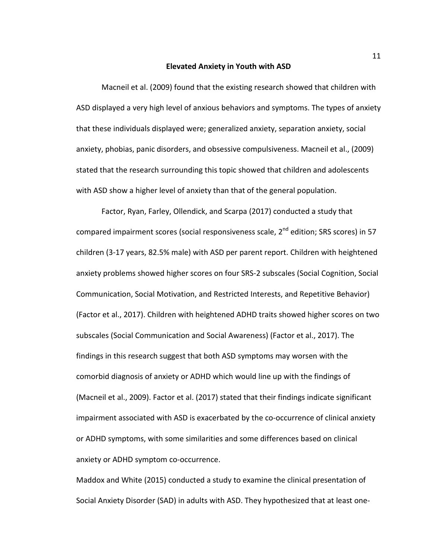#### **Elevated Anxiety in Youth with ASD**

Macneil et al. (2009) found that the existing research showed that children with ASD displayed a very high level of anxious behaviors and symptoms. The types of anxiety that these individuals displayed were; generalized anxiety, separation anxiety, social anxiety, phobias, panic disorders, and obsessive compulsiveness. Macneil et al., (2009) stated that the research surrounding this topic showed that children and adolescents with ASD show a higher level of anxiety than that of the general population.

Factor, Ryan, Farley, Ollendick, and Scarpa (2017) conducted a study that compared impairment scores (social responsiveness scale, 2<sup>nd</sup> edition; SRS scores) in 57 children (3-17 years, 82.5% male) with ASD per parent report. Children with heightened anxiety problems showed higher scores on four SRS-2 subscales (Social Cognition, Social Communication, Social Motivation, and Restricted Interests, and Repetitive Behavior) (Factor et al., 2017). Children with heightened ADHD traits showed higher scores on two subscales (Social Communication and Social Awareness) (Factor et al., 2017). The findings in this research suggest that both ASD symptoms may worsen with the comorbid diagnosis of anxiety or ADHD which would line up with the findings of (Macneil et al., 2009). Factor et al. (2017) stated that their findings indicate significant impairment associated with ASD is exacerbated by the co-occurrence of clinical anxiety or ADHD symptoms, with some similarities and some differences based on clinical anxiety or ADHD symptom co-occurrence.

Maddox and White (2015) conducted a study to examine the clinical presentation of Social Anxiety Disorder (SAD) in adults with ASD. They hypothesized that at least one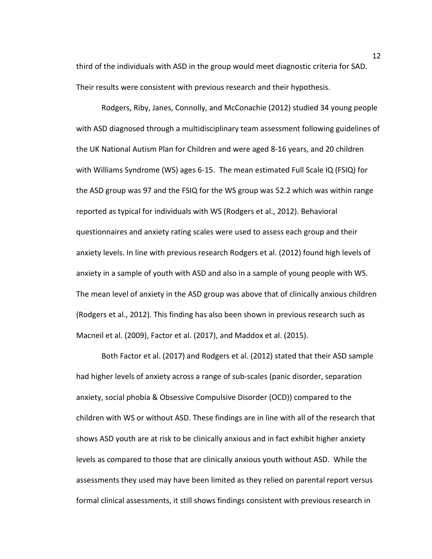third of the individuals with ASD in the group would meet diagnostic criteria for SAD. Their results were consistent with previous research and their hypothesis.

Rodgers, Riby, Janes, Connolly, and McConachie (2012) studied 34 young people with ASD diagnosed through a multidisciplinary team assessment following guidelines of the UK National Autism Plan for Children and were aged 8-16 years, and 20 children with Williams Syndrome (WS) ages 6-15. The mean estimated Full Scale IQ (FSIQ) for the ASD group was 97 and the FSIQ for the WS group was 52.2 which was within range reported as typical for individuals with WS (Rodgers et al., 2012). Behavioral questionnaires and anxiety rating scales were used to assess each group and their anxiety levels. In line with previous research Rodgers et al. (2012) found high levels of anxiety in a sample of youth with ASD and also in a sample of young people with WS. The mean level of anxiety in the ASD group was above that of clinically anxious children (Rodgers et al., 2012). This finding has also been shown in previous research such as Macneil et al. (2009), Factor et al. (2017), and Maddox et al. (2015).

Both Factor et al. (2017) and Rodgers et al. (2012) stated that their ASD sample had higher levels of anxiety across a range of sub-scales (panic disorder, separation anxiety, social phobia & Obsessive Compulsive Disorder (OCD)) compared to the children with WS or without ASD. These findings are in line with all of the research that shows ASD youth are at risk to be clinically anxious and in fact exhibit higher anxiety levels as compared to those that are clinically anxious youth without ASD. While the assessments they used may have been limited as they relied on parental report versus formal clinical assessments, it still shows findings consistent with previous research in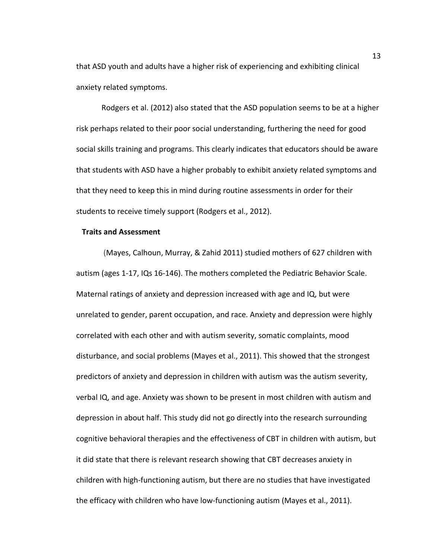that ASD youth and adults have a higher risk of experiencing and exhibiting clinical anxiety related symptoms.

Rodgers et al. (2012) also stated that the ASD population seems to be at a higher risk perhaps related to their poor social understanding, furthering the need for good social skills training and programs. This clearly indicates that educators should be aware that students with ASD have a higher probably to exhibit anxiety related symptoms and that they need to keep this in mind during routine assessments in order for their students to receive timely support (Rodgers et al., 2012).

## **Traits and Assessment**

 (Mayes, Calhoun, Murray, & Zahid 2011) studied mothers of 627 children with autism (ages 1-17, IQs 16-146). The mothers completed the Pediatric Behavior Scale. Maternal ratings of anxiety and depression increased with age and IQ, but were unrelated to gender, parent occupation, and race. Anxiety and depression were highly correlated with each other and with autism severity, somatic complaints, mood disturbance, and social problems (Mayes et al., 2011). This showed that the strongest predictors of anxiety and depression in children with autism was the autism severity, verbal IQ, and age. Anxiety was shown to be present in most children with autism and depression in about half. This study did not go directly into the research surrounding cognitive behavioral therapies and the effectiveness of CBT in children with autism, but it did state that there is relevant research showing that CBT decreases anxiety in children with high-functioning autism, but there are no studies that have investigated the efficacy with children who have low-functioning autism (Mayes et al., 2011).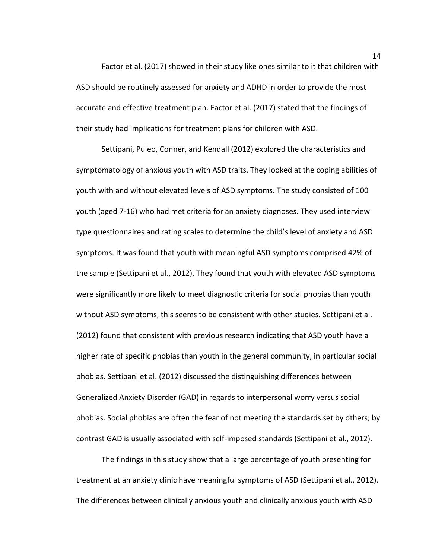Factor et al. (2017) showed in their study like ones similar to it that children with ASD should be routinely assessed for anxiety and ADHD in order to provide the most accurate and effective treatment plan. Factor et al. (2017) stated that the findings of their study had implications for treatment plans for children with ASD.

Settipani, Puleo, Conner, and Kendall (2012) explored the characteristics and symptomatology of anxious youth with ASD traits. They looked at the coping abilities of youth with and without elevated levels of ASD symptoms. The study consisted of 100 youth (aged 7-16) who had met criteria for an anxiety diagnoses. They used interview type questionnaires and rating scales to determine the child's level of anxiety and ASD symptoms. It was found that youth with meaningful ASD symptoms comprised 42% of the sample (Settipani et al., 2012). They found that youth with elevated ASD symptoms were significantly more likely to meet diagnostic criteria for social phobias than youth without ASD symptoms, this seems to be consistent with other studies. Settipani et al. (2012) found that consistent with previous research indicating that ASD youth have a higher rate of specific phobias than youth in the general community, in particular social phobias. Settipani et al. (2012) discussed the distinguishing differences between Generalized Anxiety Disorder (GAD) in regards to interpersonal worry versus social phobias. Social phobias are often the fear of not meeting the standards set by others; by contrast GAD is usually associated with self-imposed standards (Settipani et al., 2012).

The findings in this study show that a large percentage of youth presenting for treatment at an anxiety clinic have meaningful symptoms of ASD (Settipani et al., 2012). The differences between clinically anxious youth and clinically anxious youth with ASD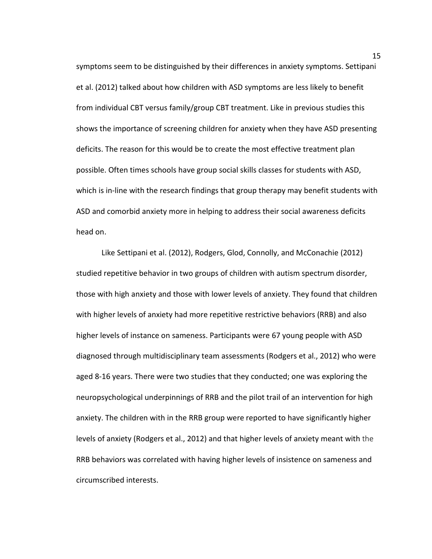symptoms seem to be distinguished by their differences in anxiety symptoms. Settipani et al. (2012) talked about how children with ASD symptoms are less likely to benefit from individual CBT versus family/group CBT treatment. Like in previous studies this shows the importance of screening children for anxiety when they have ASD presenting deficits. The reason for this would be to create the most effective treatment plan possible. Often times schools have group social skills classes for students with ASD, which is in-line with the research findings that group therapy may benefit students with ASD and comorbid anxiety more in helping to address their social awareness deficits head on.

Like Settipani et al. (2012), Rodgers, Glod, Connolly, and McConachie (2012) studied repetitive behavior in two groups of children with autism spectrum disorder, those with high anxiety and those with lower levels of anxiety. They found that children with higher levels of anxiety had more repetitive restrictive behaviors (RRB) and also higher levels of instance on sameness. Participants were 67 young people with ASD diagnosed through multidisciplinary team assessments (Rodgers et al., 2012) who were aged 8-16 years. There were two studies that they conducted; one was exploring the neuropsychological underpinnings of RRB and the pilot trail of an intervention for high anxiety. The children with in the RRB group were reported to have significantly higher levels of anxiety (Rodgers et al., 2012) and that higher levels of anxiety meant with the RRB behaviors was correlated with having higher levels of insistence on sameness and circumscribed interests.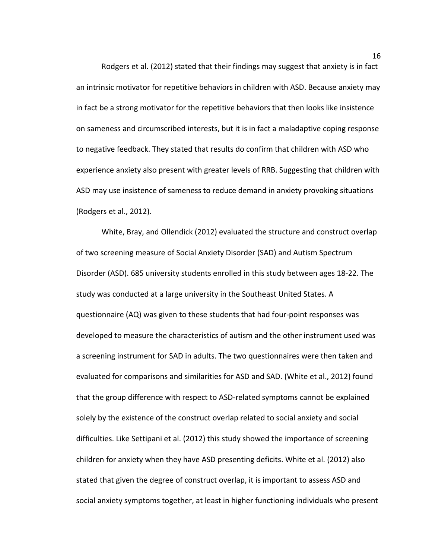Rodgers et al. (2012) stated that their findings may suggest that anxiety is in fact an intrinsic motivator for repetitive behaviors in children with ASD. Because anxiety may in fact be a strong motivator for the repetitive behaviors that then looks like insistence on sameness and circumscribed interests, but it is in fact a maladaptive coping response to negative feedback. They stated that results do confirm that children with ASD who experience anxiety also present with greater levels of RRB. Suggesting that children with ASD may use insistence of sameness to reduce demand in anxiety provoking situations (Rodgers et al., 2012).

White, Bray, and Ollendick (2012) evaluated the structure and construct overlap of two screening measure of Social Anxiety Disorder (SAD) and Autism Spectrum Disorder (ASD). 685 university students enrolled in this study between ages 18-22. The study was conducted at a large university in the Southeast United States. A questionnaire (AQ) was given to these students that had four-point responses was developed to measure the characteristics of autism and the other instrument used was a screening instrument for SAD in adults. The two questionnaires were then taken and evaluated for comparisons and similarities for ASD and SAD. (White et al., 2012) found that the group difference with respect to ASD-related symptoms cannot be explained solely by the existence of the construct overlap related to social anxiety and social difficulties. Like Settipani et al. (2012) this study showed the importance of screening children for anxiety when they have ASD presenting deficits. White et al. (2012) also stated that given the degree of construct overlap, it is important to assess ASD and social anxiety symptoms together, at least in higher functioning individuals who present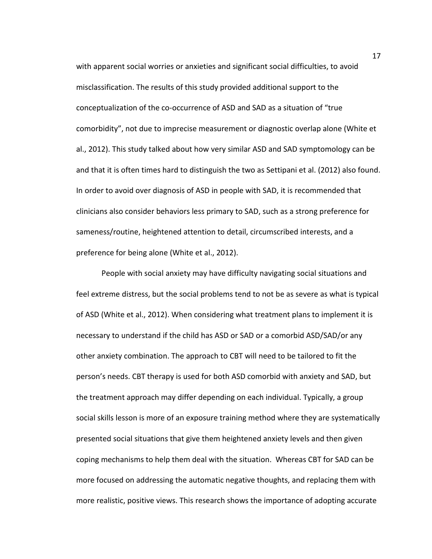with apparent social worries or anxieties and significant social difficulties, to avoid misclassification. The results of this study provided additional support to the conceptualization of the co-occurrence of ASD and SAD as a situation of "true comorbidity", not due to imprecise measurement or diagnostic overlap alone (White et al., 2012). This study talked about how very similar ASD and SAD symptomology can be and that it is often times hard to distinguish the two as Settipani et al. (2012) also found. In order to avoid over diagnosis of ASD in people with SAD, it is recommended that clinicians also consider behaviors less primary to SAD, such as a strong preference for sameness/routine, heightened attention to detail, circumscribed interests, and a preference for being alone (White et al., 2012).

People with social anxiety may have difficulty navigating social situations and feel extreme distress, but the social problems tend to not be as severe as what is typical of ASD (White et al., 2012). When considering what treatment plans to implement it is necessary to understand if the child has ASD or SAD or a comorbid ASD/SAD/or any other anxiety combination. The approach to CBT will need to be tailored to fit the person's needs. CBT therapy is used for both ASD comorbid with anxiety and SAD, but the treatment approach may differ depending on each individual. Typically, a group social skills lesson is more of an exposure training method where they are systematically presented social situations that give them heightened anxiety levels and then given coping mechanisms to help them deal with the situation. Whereas CBT for SAD can be more focused on addressing the automatic negative thoughts, and replacing them with more realistic, positive views. This research shows the importance of adopting accurate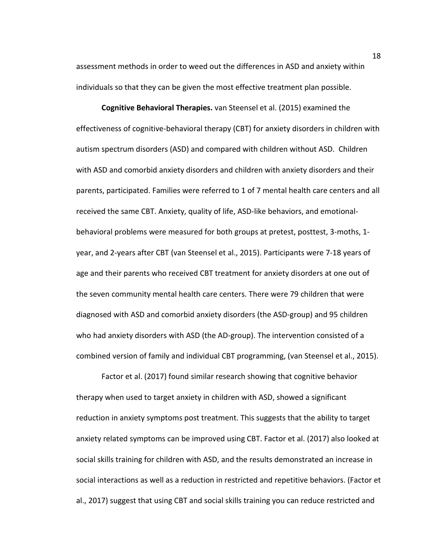assessment methods in order to weed out the differences in ASD and anxiety within individuals so that they can be given the most effective treatment plan possible.

**Cognitive Behavioral Therapies.** van Steensel et al. (2015) examined the effectiveness of cognitive-behavioral therapy (CBT) for anxiety disorders in children with autism spectrum disorders (ASD) and compared with children without ASD. Children with ASD and comorbid anxiety disorders and children with anxiety disorders and their parents, participated. Families were referred to 1 of 7 mental health care centers and all received the same CBT. Anxiety, quality of life, ASD-like behaviors, and emotionalbehavioral problems were measured for both groups at pretest, posttest, 3-moths, 1 year, and 2-years after CBT (van Steensel et al., 2015). Participants were 7-18 years of age and their parents who received CBT treatment for anxiety disorders at one out of the seven community mental health care centers. There were 79 children that were diagnosed with ASD and comorbid anxiety disorders (the ASD-group) and 95 children who had anxiety disorders with ASD (the AD-group). The intervention consisted of a combined version of family and individual CBT programming, (van Steensel et al., 2015).

Factor et al. (2017) found similar research showing that cognitive behavior therapy when used to target anxiety in children with ASD, showed a significant reduction in anxiety symptoms post treatment. This suggests that the ability to target anxiety related symptoms can be improved using CBT. Factor et al. (2017) also looked at social skills training for children with ASD, and the results demonstrated an increase in social interactions as well as a reduction in restricted and repetitive behaviors. (Factor et al., 2017) suggest that using CBT and social skills training you can reduce restricted and

18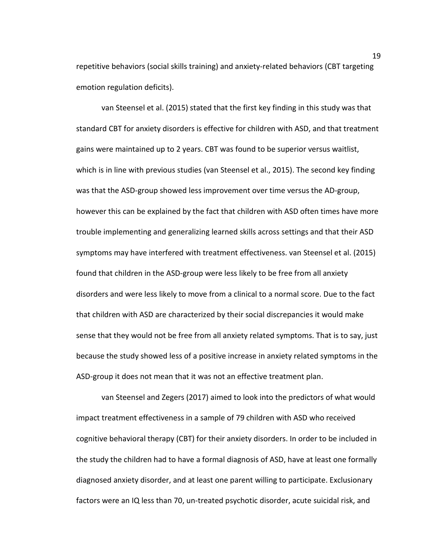repetitive behaviors (social skills training) and anxiety-related behaviors (CBT targeting emotion regulation deficits).

van Steensel et al. (2015) stated that the first key finding in this study was that standard CBT for anxiety disorders is effective for children with ASD, and that treatment gains were maintained up to 2 years. CBT was found to be superior versus waitlist, which is in line with previous studies (van Steensel et al., 2015). The second key finding was that the ASD-group showed less improvement over time versus the AD-group, however this can be explained by the fact that children with ASD often times have more trouble implementing and generalizing learned skills across settings and that their ASD symptoms may have interfered with treatment effectiveness. van Steensel et al. (2015) found that children in the ASD-group were less likely to be free from all anxiety disorders and were less likely to move from a clinical to a normal score. Due to the fact that children with ASD are characterized by their social discrepancies it would make sense that they would not be free from all anxiety related symptoms. That is to say, just because the study showed less of a positive increase in anxiety related symptoms in the ASD-group it does not mean that it was not an effective treatment plan.

van Steensel and Zegers (2017) aimed to look into the predictors of what would impact treatment effectiveness in a sample of 79 children with ASD who received cognitive behavioral therapy (CBT) for their anxiety disorders. In order to be included in the study the children had to have a formal diagnosis of ASD, have at least one formally diagnosed anxiety disorder, and at least one parent willing to participate. Exclusionary factors were an IQ less than 70, un-treated psychotic disorder, acute suicidal risk, and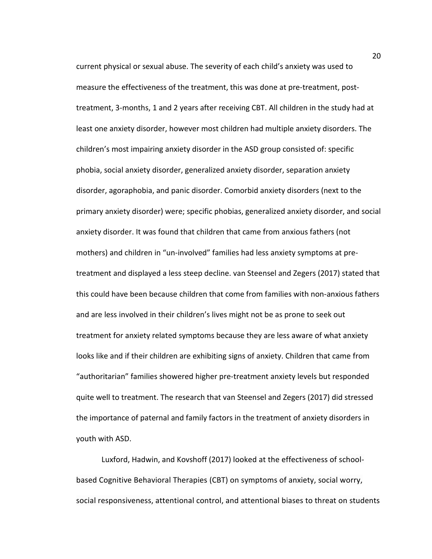current physical or sexual abuse. The severity of each child's anxiety was used to measure the effectiveness of the treatment, this was done at pre-treatment, posttreatment, 3-months, 1 and 2 years after receiving CBT. All children in the study had at least one anxiety disorder, however most children had multiple anxiety disorders. The children's most impairing anxiety disorder in the ASD group consisted of: specific phobia, social anxiety disorder, generalized anxiety disorder, separation anxiety disorder, agoraphobia, and panic disorder. Comorbid anxiety disorders (next to the primary anxiety disorder) were; specific phobias, generalized anxiety disorder, and social anxiety disorder. It was found that children that came from anxious fathers (not mothers) and children in "un-involved" families had less anxiety symptoms at pretreatment and displayed a less steep decline. van Steensel and Zegers (2017) stated that this could have been because children that come from families with non-anxious fathers and are less involved in their children's lives might not be as prone to seek out treatment for anxiety related symptoms because they are less aware of what anxiety looks like and if their children are exhibiting signs of anxiety. Children that came from "authoritarian" families showered higher pre-treatment anxiety levels but responded quite well to treatment. The research that van Steensel and Zegers (2017) did stressed the importance of paternal and family factors in the treatment of anxiety disorders in youth with ASD.

Luxford, Hadwin, and Kovshoff (2017) looked at the effectiveness of schoolbased Cognitive Behavioral Therapies (CBT) on symptoms of anxiety, social worry, social responsiveness, attentional control, and attentional biases to threat on students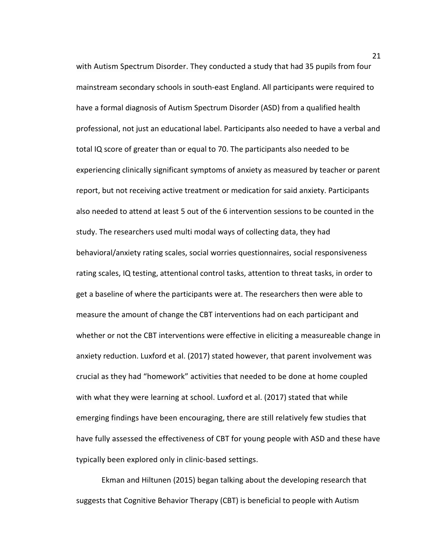with Autism Spectrum Disorder. They conducted a study that had 35 pupils from four mainstream secondary schools in south-east England. All participants were required to have a formal diagnosis of Autism Spectrum Disorder (ASD) from a qualified health professional, not just an educational label. Participants also needed to have a verbal and total IQ score of greater than or equal to 70. The participants also needed to be experiencing clinically significant symptoms of anxiety as measured by teacher or parent report, but not receiving active treatment or medication for said anxiety. Participants also needed to attend at least 5 out of the 6 intervention sessions to be counted in the study. The researchers used multi modal ways of collecting data, they had behavioral/anxiety rating scales, social worries questionnaires, social responsiveness rating scales, IQ testing, attentional control tasks, attention to threat tasks, in order to get a baseline of where the participants were at. The researchers then were able to measure the amount of change the CBT interventions had on each participant and whether or not the CBT interventions were effective in eliciting a measureable change in anxiety reduction. Luxford et al. (2017) stated however, that parent involvement was crucial as they had "homework" activities that needed to be done at home coupled with what they were learning at school. Luxford et al. (2017) stated that while emerging findings have been encouraging, there are still relatively few studies that have fully assessed the effectiveness of CBT for young people with ASD and these have typically been explored only in clinic-based settings.

Ekman and Hiltunen (2015) began talking about the developing research that suggests that Cognitive Behavior Therapy (CBT) is beneficial to people with Autism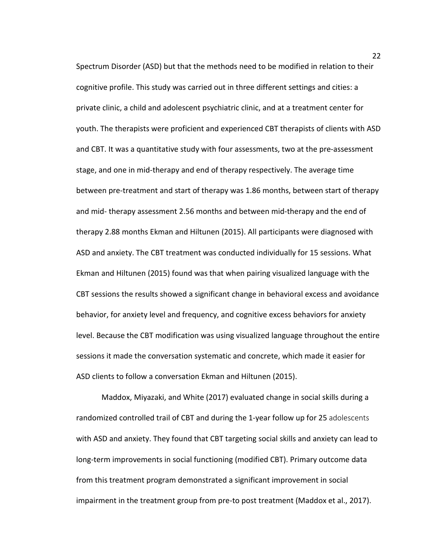Spectrum Disorder (ASD) but that the methods need to be modified in relation to their cognitive profile. This study was carried out in three different settings and cities: a private clinic, a child and adolescent psychiatric clinic, and at a treatment center for youth. The therapists were proficient and experienced CBT therapists of clients with ASD and CBT. It was a quantitative study with four assessments, two at the pre-assessment stage, and one in mid-therapy and end of therapy respectively. The average time between pre-treatment and start of therapy was 1.86 months, between start of therapy and mid- therapy assessment 2.56 months and between mid-therapy and the end of therapy 2.88 months Ekman and Hiltunen (2015). All participants were diagnosed with ASD and anxiety. The CBT treatment was conducted individually for 15 sessions. What Ekman and Hiltunen (2015) found was that when pairing visualized language with the CBT sessions the results showed a significant change in behavioral excess and avoidance behavior, for anxiety level and frequency, and cognitive excess behaviors for anxiety level. Because the CBT modification was using visualized language throughout the entire sessions it made the conversation systematic and concrete, which made it easier for ASD clients to follow a conversation Ekman and Hiltunen (2015).

Maddox, Miyazaki, and White (2017) evaluated change in social skills during a randomized controlled trail of CBT and during the 1-year follow up for 25 adolescents with ASD and anxiety. They found that CBT targeting social skills and anxiety can lead to long-term improvements in social functioning (modified CBT). Primary outcome data from this treatment program demonstrated a significant improvement in social impairment in the treatment group from pre-to post treatment (Maddox et al., 2017).

22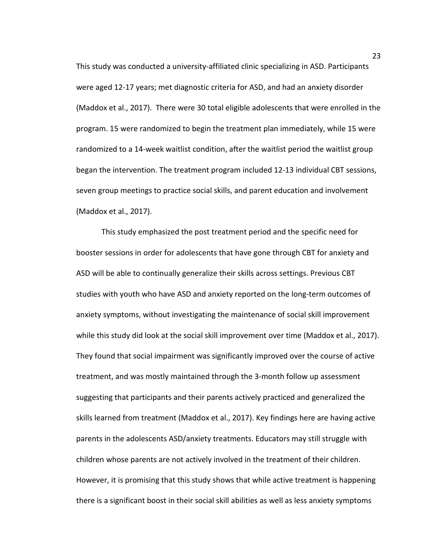This study was conducted a university-affiliated clinic specializing in ASD. Participants were aged 12-17 years; met diagnostic criteria for ASD, and had an anxiety disorder (Maddox et al., 2017). There were 30 total eligible adolescents that were enrolled in the program. 15 were randomized to begin the treatment plan immediately, while 15 were randomized to a 14-week waitlist condition, after the waitlist period the waitlist group began the intervention. The treatment program included 12-13 individual CBT sessions, seven group meetings to practice social skills, and parent education and involvement (Maddox et al., 2017).

This study emphasized the post treatment period and the specific need for booster sessions in order for adolescents that have gone through CBT for anxiety and ASD will be able to continually generalize their skills across settings. Previous CBT studies with youth who have ASD and anxiety reported on the long-term outcomes of anxiety symptoms, without investigating the maintenance of social skill improvement while this study did look at the social skill improvement over time (Maddox et al., 2017). They found that social impairment was significantly improved over the course of active treatment, and was mostly maintained through the 3-month follow up assessment suggesting that participants and their parents actively practiced and generalized the skills learned from treatment (Maddox et al., 2017). Key findings here are having active parents in the adolescents ASD/anxiety treatments. Educators may still struggle with children whose parents are not actively involved in the treatment of their children. However, it is promising that this study shows that while active treatment is happening there is a significant boost in their social skill abilities as well as less anxiety symptoms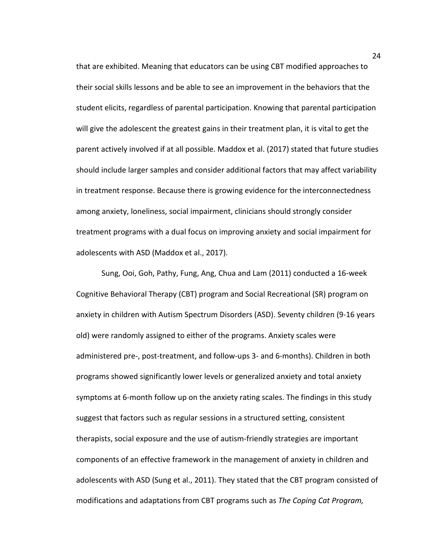that are exhibited. Meaning that educators can be using CBT modified approaches to their social skills lessons and be able to see an improvement in the behaviors that the student elicits, regardless of parental participation. Knowing that parental participation will give the adolescent the greatest gains in their treatment plan, it is vital to get the parent actively involved if at all possible. Maddox et al. (2017) stated that future studies should include larger samples and consider additional factors that may affect variability in treatment response. Because there is growing evidence for the interconnectedness among anxiety, loneliness, social impairment, clinicians should strongly consider treatment programs with a dual focus on improving anxiety and social impairment for adolescents with ASD (Maddox et al., 2017).

Sung, Ooi, Goh, Pathy, Fung, Ang, Chua and Lam (2011) conducted a 16-week Cognitive Behavioral Therapy (CBT) program and Social Recreational (SR) program on anxiety in children with Autism Spectrum Disorders (ASD). Seventy children (9-16 years old) were randomly assigned to either of the programs. Anxiety scales were administered pre-, post-treatment, and follow-ups 3- and 6-months). Children in both programs showed significantly lower levels or generalized anxiety and total anxiety symptoms at 6-month follow up on the anxiety rating scales. The findings in this study suggest that factors such as regular sessions in a structured setting, consistent therapists, social exposure and the use of autism-friendly strategies are important components of an effective framework in the management of anxiety in children and adolescents with ASD (Sung et al., 2011). They stated that the CBT program consisted of modifications and adaptations from CBT programs such as *The Coping Cat Program,*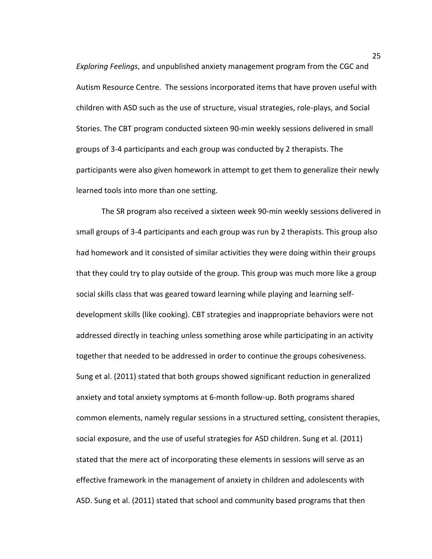*Exploring Feelings*, and unpublished anxiety management program from the CGC and Autism Resource Centre. The sessions incorporated items that have proven useful with children with ASD such as the use of structure, visual strategies, role-plays, and Social Stories. The CBT program conducted sixteen 90-min weekly sessions delivered in small groups of 3-4 participants and each group was conducted by 2 therapists. The participants were also given homework in attempt to get them to generalize their newly learned tools into more than one setting.

The SR program also received a sixteen week 90-min weekly sessions delivered in small groups of 3-4 participants and each group was run by 2 therapists. This group also had homework and it consisted of similar activities they were doing within their groups that they could try to play outside of the group. This group was much more like a group social skills class that was geared toward learning while playing and learning selfdevelopment skills (like cooking). CBT strategies and inappropriate behaviors were not addressed directly in teaching unless something arose while participating in an activity together that needed to be addressed in order to continue the groups cohesiveness. Sung et al. (2011) stated that both groups showed significant reduction in generalized anxiety and total anxiety symptoms at 6-month follow-up. Both programs shared common elements, namely regular sessions in a structured setting, consistent therapies, social exposure, and the use of useful strategies for ASD children. Sung et al. (2011) stated that the mere act of incorporating these elements in sessions will serve as an effective framework in the management of anxiety in children and adolescents with ASD. Sung et al. (2011) stated that school and community based programs that then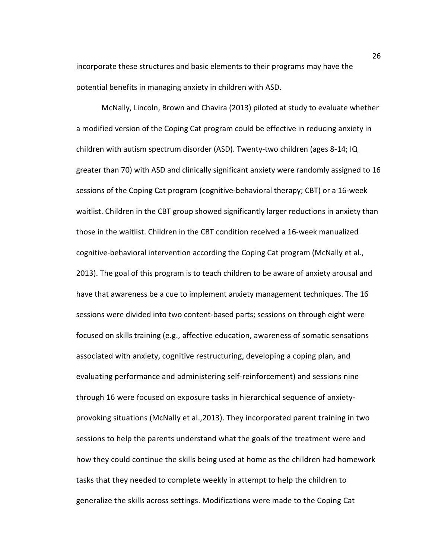incorporate these structures and basic elements to their programs may have the potential benefits in managing anxiety in children with ASD.

McNally, Lincoln, Brown and Chavira (2013) piloted at study to evaluate whether a modified version of the Coping Cat program could be effective in reducing anxiety in children with autism spectrum disorder (ASD). Twenty-two children (ages 8-14; IQ greater than 70) with ASD and clinically significant anxiety were randomly assigned to 16 sessions of the Coping Cat program (cognitive-behavioral therapy; CBT) or a 16-week waitlist. Children in the CBT group showed significantly larger reductions in anxiety than those in the waitlist. Children in the CBT condition received a 16-week manualized cognitive-behavioral intervention according the Coping Cat program (McNally et al., 2013). The goal of this program is to teach children to be aware of anxiety arousal and have that awareness be a cue to implement anxiety management techniques. The 16 sessions were divided into two content-based parts; sessions on through eight were focused on skills training (e.g., affective education, awareness of somatic sensations associated with anxiety, cognitive restructuring, developing a coping plan, and evaluating performance and administering self-reinforcement) and sessions nine through 16 were focused on exposure tasks in hierarchical sequence of anxietyprovoking situations (McNally et al.,2013). They incorporated parent training in two sessions to help the parents understand what the goals of the treatment were and how they could continue the skills being used at home as the children had homework tasks that they needed to complete weekly in attempt to help the children to generalize the skills across settings. Modifications were made to the Coping Cat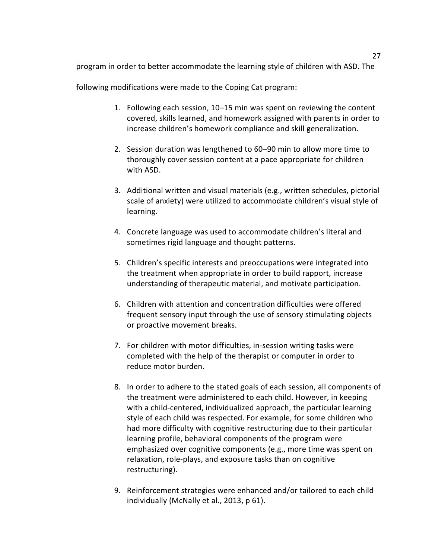program in order to better accommodate the learning style of children with ASD. The

following modifications were made to the Coping Cat program:

- 1. Following each session, 10–15 min was spent on reviewing the content covered, skills learned, and homework assigned with parents in order to increase children's homework compliance and skill generalization.
- 2. Session duration was lengthened to 60–90 min to allow more time to thoroughly cover session content at a pace appropriate for children with ASD.
- 3. Additional written and visual materials (e.g., written schedules, pictorial scale of anxiety) were utilized to accommodate children's visual style of learning.
- 4. Concrete language was used to accommodate children's literal and sometimes rigid language and thought patterns.
- 5. Children's specific interests and preoccupations were integrated into the treatment when appropriate in order to build rapport, increase understanding of therapeutic material, and motivate participation.
- 6. Children with attention and concentration difficulties were offered frequent sensory input through the use of sensory stimulating objects or proactive movement breaks.
- 7. For children with motor difficulties, in-session writing tasks were completed with the help of the therapist or computer in order to reduce motor burden.
- 8. In order to adhere to the stated goals of each session, all components of the treatment were administered to each child. However, in keeping with a child-centered, individualized approach, the particular learning style of each child was respected. For example, for some children who had more difficulty with cognitive restructuring due to their particular learning profile, behavioral components of the program were emphasized over cognitive components (e.g., more time was spent on relaxation, role-plays, and exposure tasks than on cognitive restructuring).
- 9. Reinforcement strategies were enhanced and/or tailored to each child individually (McNally et al., 2013, p 61).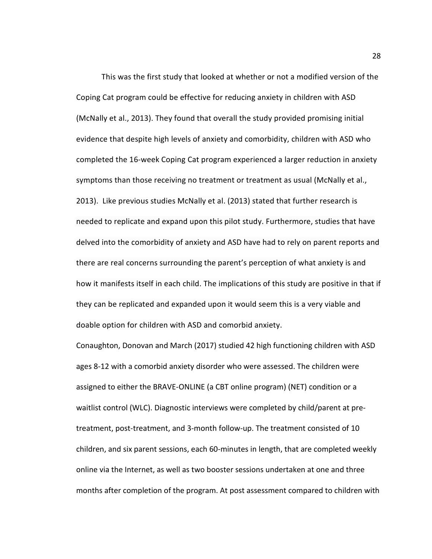This was the first study that looked at whether or not a modified version of the Coping Cat program could be effective for reducing anxiety in children with ASD (McNally et al., 2013). They found that overall the study provided promising initial evidence that despite high levels of anxiety and comorbidity, children with ASD who completed the 16-week Coping Cat program experienced a larger reduction in anxiety symptoms than those receiving no treatment or treatment as usual (McNally et al., 2013). Like previous studies McNally et al. (2013) stated that further research is needed to replicate and expand upon this pilot study. Furthermore, studies that have delved into the comorbidity of anxiety and ASD have had to rely on parent reports and there are real concerns surrounding the parent's perception of what anxiety is and how it manifests itself in each child. The implications of this study are positive in that if they can be replicated and expanded upon it would seem this is a very viable and doable option for children with ASD and comorbid anxiety.

Conaughton, Donovan and March (2017) studied 42 high functioning children with ASD ages 8-12 with a comorbid anxiety disorder who were assessed. The children were assigned to either the BRAVE-ONLINE (a CBT online program) (NET) condition or a waitlist control (WLC). Diagnostic interviews were completed by child/parent at pretreatment, post-treatment, and 3-month follow-up. The treatment consisted of 10 children, and six parent sessions, each 60-minutes in length, that are completed weekly online via the Internet, as well as two booster sessions undertaken at one and three months after completion of the program. At post assessment compared to children with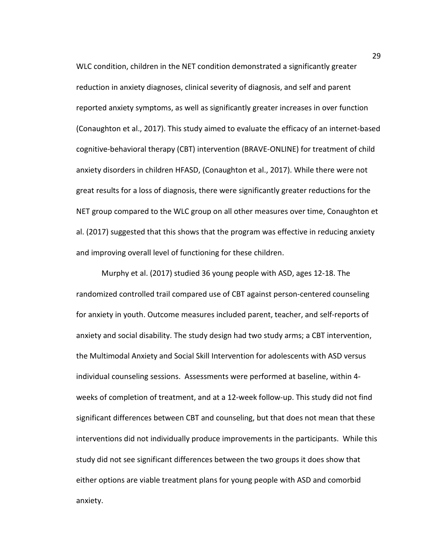WLC condition, children in the NET condition demonstrated a significantly greater reduction in anxiety diagnoses, clinical severity of diagnosis, and self and parent reported anxiety symptoms, as well as significantly greater increases in over function (Conaughton et al., 2017). This study aimed to evaluate the efficacy of an internet-based cognitive-behavioral therapy (CBT) intervention (BRAVE-ONLINE) for treatment of child anxiety disorders in children HFASD, (Conaughton et al., 2017). While there were not great results for a loss of diagnosis, there were significantly greater reductions for the NET group compared to the WLC group on all other measures over time, Conaughton et al. (2017) suggested that this shows that the program was effective in reducing anxiety and improving overall level of functioning for these children.

 Murphy et al. (2017) studied 36 young people with ASD, ages 12-18. The randomized controlled trail compared use of CBT against person-centered counseling for anxiety in youth. Outcome measures included parent, teacher, and self-reports of anxiety and social disability. The study design had two study arms; a CBT intervention, the Multimodal Anxiety and Social Skill Intervention for adolescents with ASD versus individual counseling sessions. Assessments were performed at baseline, within 4 weeks of completion of treatment, and at a 12-week follow-up. This study did not find significant differences between CBT and counseling, but that does not mean that these interventions did not individually produce improvements in the participants. While this study did not see significant differences between the two groups it does show that either options are viable treatment plans for young people with ASD and comorbid anxiety.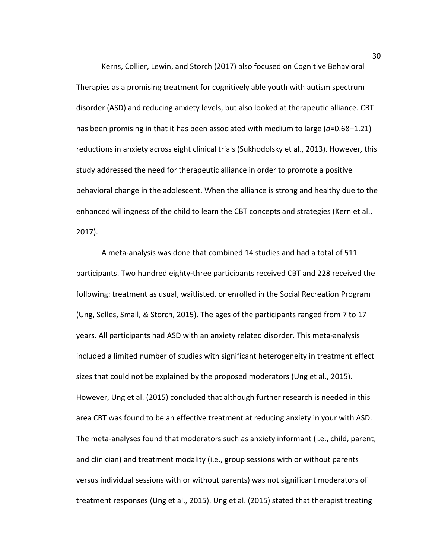Kerns, Collier, Lewin, and Storch (2017) also focused on Cognitive Behavioral Therapies as a promising treatment for cognitively able youth with autism spectrum disorder (ASD) and reducing anxiety levels, but also looked at therapeutic alliance. CBT has been promising in that it has been associated with medium to large (*d*=0.68–1.21) reductions in anxiety across eight clinical trials (Sukhodolsky et al., 2013). However, this study addressed the need for therapeutic alliance in order to promote a positive behavioral change in the adolescent. When the alliance is strong and healthy due to the enhanced willingness of the child to learn the CBT concepts and strategies (Kern et al., 2017).

A meta-analysis was done that combined 14 studies and had a total of 511 participants. Two hundred eighty-three participants received CBT and 228 received the following: treatment as usual, waitlisted, or enrolled in the Social Recreation Program (Ung, Selles, Small, & Storch, 2015). The ages of the participants ranged from 7 to 17 years. All participants had ASD with an anxiety related disorder. This meta-analysis included a limited number of studies with significant heterogeneity in treatment effect sizes that could not be explained by the proposed moderators (Ung et al., 2015). However, Ung et al. (2015) concluded that although further research is needed in this area CBT was found to be an effective treatment at reducing anxiety in your with ASD. The meta-analyses found that moderators such as anxiety informant (i.e., child, parent, and clinician) and treatment modality (i.e., group sessions with or without parents versus individual sessions with or without parents) was not significant moderators of treatment responses (Ung et al., 2015). Ung et al. (2015) stated that therapist treating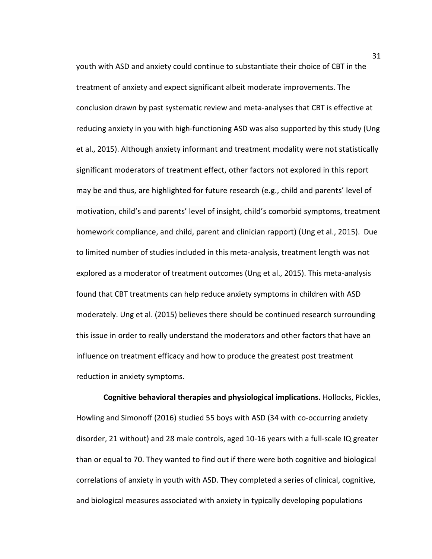youth with ASD and anxiety could continue to substantiate their choice of CBT in the treatment of anxiety and expect significant albeit moderate improvements. The conclusion drawn by past systematic review and meta-analyses that CBT is effective at reducing anxiety in you with high-functioning ASD was also supported by this study (Ung et al., 2015). Although anxiety informant and treatment modality were not statistically significant moderators of treatment effect, other factors not explored in this report may be and thus, are highlighted for future research (e.g., child and parents' level of motivation, child's and parents' level of insight, child's comorbid symptoms, treatment homework compliance, and child, parent and clinician rapport) (Ung et al., 2015). Due to limited number of studies included in this meta-analysis, treatment length was not explored as a moderator of treatment outcomes (Ung et al., 2015). This meta-analysis found that CBT treatments can help reduce anxiety symptoms in children with ASD moderately. Ung et al. (2015) believes there should be continued research surrounding this issue in order to really understand the moderators and other factors that have an influence on treatment efficacy and how to produce the greatest post treatment reduction in anxiety symptoms.

**Cognitive behavioral therapies and physiological implications.** Hollocks, Pickles, Howling and Simonoff (2016) studied 55 boys with ASD (34 with co-occurring anxiety disorder, 21 without) and 28 male controls, aged 10-16 years with a full-scale IQ greater than or equal to 70. They wanted to find out if there were both cognitive and biological correlations of anxiety in youth with ASD. They completed a series of clinical, cognitive, and biological measures associated with anxiety in typically developing populations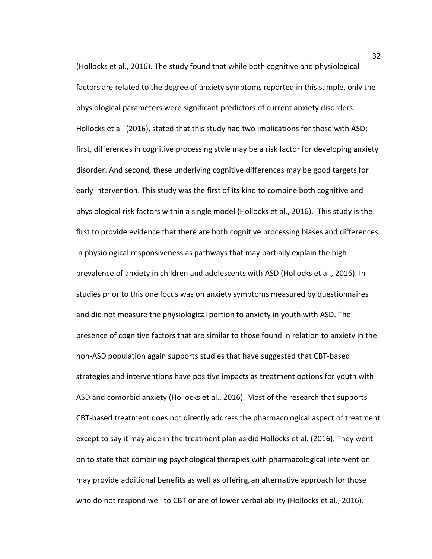(Hollocks et al., 2016). The study found that while both cognitive and physiological factors are related to the degree of anxiety symptoms reported in this sample, only the physiological parameters were significant predictors of current anxiety disorders. Hollocks et al. (2016), stated that this study had two implications for those with ASD; first, differences in cognitive processing style may be a risk factor for developing anxiety disorder. And second, these underlying cognitive differences may be good targets for early intervention. This study was the first of its kind to combine both cognitive and physiological risk factors within a single model (Hollocks et al., 2016). This study is the first to provide evidence that there are both cognitive processing biases and differences in physiological responsiveness as pathways that may partially explain the high prevalence of anxiety in children and adolescents with ASD (Hollocks et al., 2016). In studies prior to this one focus was on anxiety symptoms measured by questionnaires and did not measure the physiological portion to anxiety in youth with ASD. The presence of cognitive factors that are similar to those found in relation to anxiety in the non-ASD population again supports studies that have suggested that CBT-based strategies and interventions have positive impacts as treatment options for youth with ASD and comorbid anxiety (Hollocks et al., 2016). Most of the research that supports CBT-based treatment does not directly address the pharmacological aspect of treatment except to say it may aide in the treatment plan as did Hollocks et al. (2016). They went on to state that combining psychological therapies with pharmacological intervention may provide additional benefits as well as offering an alternative approach for those who do not respond well to CBT or are of lower verbal ability (Hollocks et al., 2016).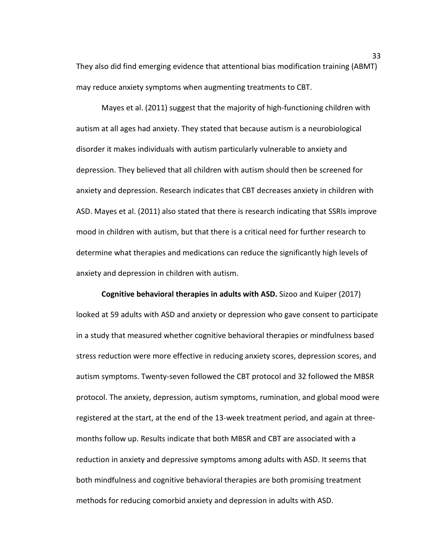They also did find emerging evidence that attentional bias modification training (ABMT) may reduce anxiety symptoms when augmenting treatments to CBT.

Mayes et al. (2011) suggest that the majority of high-functioning children with autism at all ages had anxiety. They stated that because autism is a neurobiological disorder it makes individuals with autism particularly vulnerable to anxiety and depression. They believed that all children with autism should then be screened for anxiety and depression. Research indicates that CBT decreases anxiety in children with ASD. Mayes et al. (2011) also stated that there is research indicating that SSRIs improve mood in children with autism, but that there is a critical need for further research to determine what therapies and medications can reduce the significantly high levels of anxiety and depression in children with autism.

**Cognitive behavioral therapies in adults with ASD.** Sizoo and Kuiper (2017) looked at 59 adults with ASD and anxiety or depression who gave consent to participate in a study that measured whether cognitive behavioral therapies or mindfulness based stress reduction were more effective in reducing anxiety scores, depression scores, and autism symptoms. Twenty-seven followed the CBT protocol and 32 followed the MBSR protocol. The anxiety, depression, autism symptoms, rumination, and global mood were registered at the start, at the end of the 13-week treatment period, and again at threemonths follow up. Results indicate that both MBSR and CBT are associated with a reduction in anxiety and depressive symptoms among adults with ASD. It seems that both mindfulness and cognitive behavioral therapies are both promising treatment methods for reducing comorbid anxiety and depression in adults with ASD.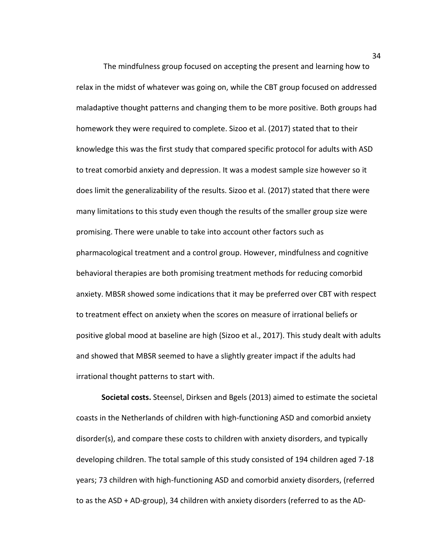The mindfulness group focused on accepting the present and learning how to relax in the midst of whatever was going on, while the CBT group focused on addressed maladaptive thought patterns and changing them to be more positive. Both groups had homework they were required to complete. Sizoo et al. (2017) stated that to their knowledge this was the first study that compared specific protocol for adults with ASD to treat comorbid anxiety and depression. It was a modest sample size however so it does limit the generalizability of the results. Sizoo et al. (2017) stated that there were many limitations to this study even though the results of the smaller group size were promising. There were unable to take into account other factors such as pharmacological treatment and a control group. However, mindfulness and cognitive behavioral therapies are both promising treatment methods for reducing comorbid anxiety. MBSR showed some indications that it may be preferred over CBT with respect to treatment effect on anxiety when the scores on measure of irrational beliefs or positive global mood at baseline are high (Sizoo et al., 2017). This study dealt with adults and showed that MBSR seemed to have a slightly greater impact if the adults had irrational thought patterns to start with.

**Societal costs.** Steensel, Dirksen and Bgels (2013) aimed to estimate the societal coasts in the Netherlands of children with high-functioning ASD and comorbid anxiety disorder(s), and compare these costs to children with anxiety disorders, and typically developing children. The total sample of this study consisted of 194 children aged 7-18 years; 73 children with high-functioning ASD and comorbid anxiety disorders, (referred to as the ASD + AD-group), 34 children with anxiety disorders (referred to as the AD-

34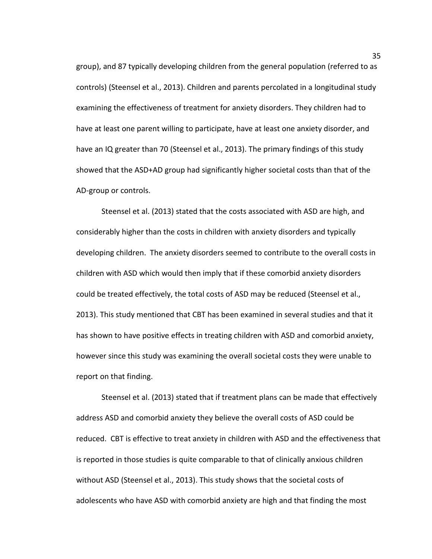group), and 87 typically developing children from the general population (referred to as controls) (Steensel et al., 2013). Children and parents percolated in a longitudinal study examining the effectiveness of treatment for anxiety disorders. They children had to have at least one parent willing to participate, have at least one anxiety disorder, and have an IQ greater than 70 (Steensel et al., 2013). The primary findings of this study showed that the ASD+AD group had significantly higher societal costs than that of the AD-group or controls.

Steensel et al. (2013) stated that the costs associated with ASD are high, and considerably higher than the costs in children with anxiety disorders and typically developing children. The anxiety disorders seemed to contribute to the overall costs in children with ASD which would then imply that if these comorbid anxiety disorders could be treated effectively, the total costs of ASD may be reduced (Steensel et al., 2013). This study mentioned that CBT has been examined in several studies and that it has shown to have positive effects in treating children with ASD and comorbid anxiety, however since this study was examining the overall societal costs they were unable to report on that finding.

Steensel et al. (2013) stated that if treatment plans can be made that effectively address ASD and comorbid anxiety they believe the overall costs of ASD could be reduced. CBT is effective to treat anxiety in children with ASD and the effectiveness that is reported in those studies is quite comparable to that of clinically anxious children without ASD (Steensel et al., 2013). This study shows that the societal costs of adolescents who have ASD with comorbid anxiety are high and that finding the most

35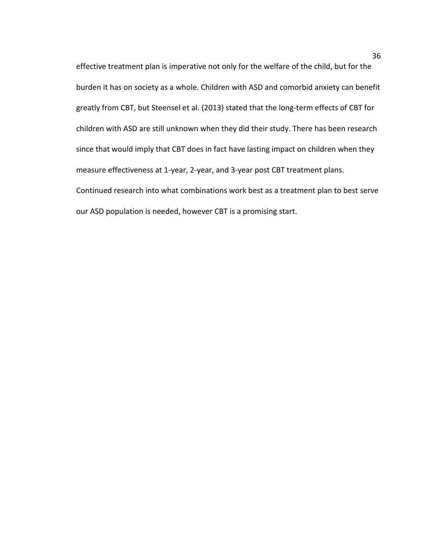effective treatment plan is imperative not only for the welfare of the child, but for the burden it has on society as a whole. Children with ASD and comorbid anxiety can benefit greatly from CBT, but Steensel et al. (2013) stated that the long-term effects of CBT for children with ASD are still unknown when they did their study. There has been research since that would imply that CBT does in fact have lasting impact on children when they measure effectiveness at 1-year, 2-year, and 3-year post CBT treatment plans. Continued research into what combinations work best as a treatment plan to best serve our ASD population is needed, however CBT is a promising start.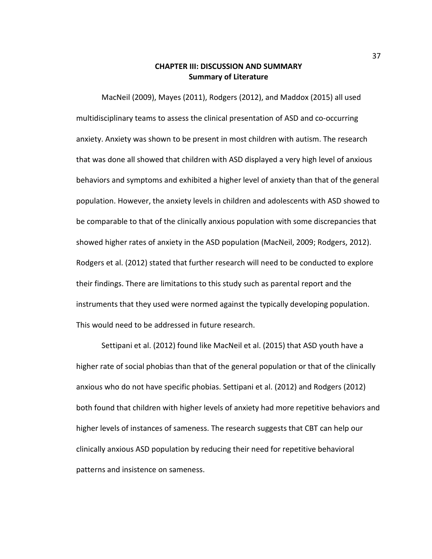# **CHAPTER III: DISCUSSION AND SUMMARY Summary of Literature**

MacNeil (2009), Mayes (2011), Rodgers (2012), and Maddox (2015) all used multidisciplinary teams to assess the clinical presentation of ASD and co-occurring anxiety. Anxiety was shown to be present in most children with autism. The research that was done all showed that children with ASD displayed a very high level of anxious behaviors and symptoms and exhibited a higher level of anxiety than that of the general population. However, the anxiety levels in children and adolescents with ASD showed to be comparable to that of the clinically anxious population with some discrepancies that showed higher rates of anxiety in the ASD population (MacNeil, 2009; Rodgers, 2012). Rodgers et al. (2012) stated that further research will need to be conducted to explore their findings. There are limitations to this study such as parental report and the instruments that they used were normed against the typically developing population. This would need to be addressed in future research.

Settipani et al. (2012) found like MacNeil et al. (2015) that ASD youth have a higher rate of social phobias than that of the general population or that of the clinically anxious who do not have specific phobias. Settipani et al. (2012) and Rodgers (2012) both found that children with higher levels of anxiety had more repetitive behaviors and higher levels of instances of sameness. The research suggests that CBT can help our clinically anxious ASD population by reducing their need for repetitive behavioral patterns and insistence on sameness.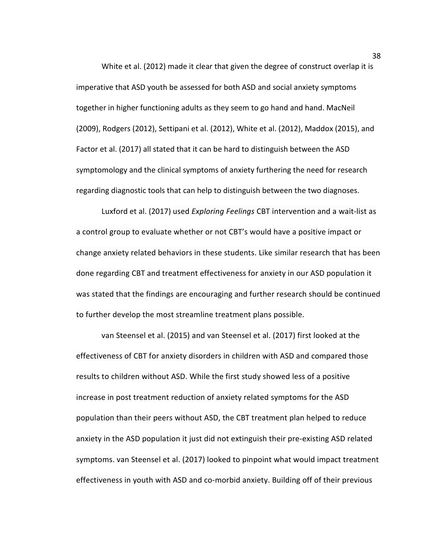White et al. (2012) made it clear that given the degree of construct overlap it is imperative that ASD youth be assessed for both ASD and social anxiety symptoms together in higher functioning adults as they seem to go hand and hand. MacNeil (2009), Rodgers (2012), Settipani et al. (2012), White et al. (2012), Maddox (2015), and Factor et al. (2017) all stated that it can be hard to distinguish between the ASD symptomology and the clinical symptoms of anxiety furthering the need for research regarding diagnostic tools that can help to distinguish between the two diagnoses.

Luxford et al. (2017) used *Exploring Feelings* CBT intervention and a wait-list as a control group to evaluate whether or not CBT's would have a positive impact or change anxiety related behaviors in these students. Like similar research that has been done regarding CBT and treatment effectiveness for anxiety in our ASD population it was stated that the findings are encouraging and further research should be continued to further develop the most streamline treatment plans possible.

van Steensel et al. (2015) and van Steensel et al. (2017) first looked at the effectiveness of CBT for anxiety disorders in children with ASD and compared those results to children without ASD. While the first study showed less of a positive increase in post treatment reduction of anxiety related symptoms for the ASD population than their peers without ASD, the CBT treatment plan helped to reduce anxiety in the ASD population it just did not extinguish their pre-existing ASD related symptoms. van Steensel et al. (2017) looked to pinpoint what would impact treatment effectiveness in youth with ASD and co-morbid anxiety. Building off of their previous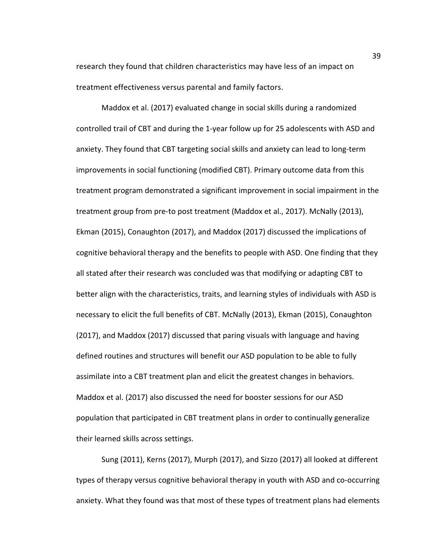research they found that children characteristics may have less of an impact on treatment effectiveness versus parental and family factors.

Maddox et al. (2017) evaluated change in social skills during a randomized controlled trail of CBT and during the 1-year follow up for 25 adolescents with ASD and anxiety. They found that CBT targeting social skills and anxiety can lead to long-term improvements in social functioning (modified CBT). Primary outcome data from this treatment program demonstrated a significant improvement in social impairment in the treatment group from pre-to post treatment (Maddox et al., 2017). McNally (2013), Ekman (2015), Conaughton (2017), and Maddox (2017) discussed the implications of cognitive behavioral therapy and the benefits to people with ASD. One finding that they all stated after their research was concluded was that modifying or adapting CBT to better align with the characteristics, traits, and learning styles of individuals with ASD is necessary to elicit the full benefits of CBT. McNally (2013), Ekman (2015), Conaughton (2017), and Maddox (2017) discussed that paring visuals with language and having defined routines and structures will benefit our ASD population to be able to fully assimilate into a CBT treatment plan and elicit the greatest changes in behaviors. Maddox et al. (2017) also discussed the need for booster sessions for our ASD population that participated in CBT treatment plans in order to continually generalize their learned skills across settings.

Sung (2011), Kerns (2017), Murph (2017), and Sizzo (2017) all looked at different types of therapy versus cognitive behavioral therapy in youth with ASD and co-occurring anxiety. What they found was that most of these types of treatment plans had elements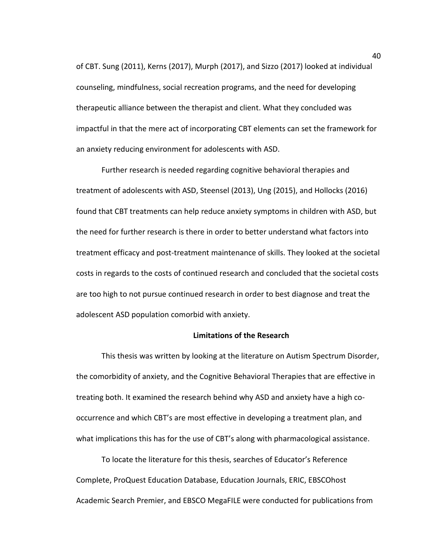of CBT. Sung (2011), Kerns (2017), Murph (2017), and Sizzo (2017) looked at individual counseling, mindfulness, social recreation programs, and the need for developing therapeutic alliance between the therapist and client. What they concluded was impactful in that the mere act of incorporating CBT elements can set the framework for an anxiety reducing environment for adolescents with ASD.

Further research is needed regarding cognitive behavioral therapies and treatment of adolescents with ASD, Steensel (2013), Ung (2015), and Hollocks (2016) found that CBT treatments can help reduce anxiety symptoms in children with ASD, but the need for further research is there in order to better understand what factors into treatment efficacy and post-treatment maintenance of skills. They looked at the societal costs in regards to the costs of continued research and concluded that the societal costs are too high to not pursue continued research in order to best diagnose and treat the adolescent ASD population comorbid with anxiety.

### **Limitations of the Research**

This thesis was written by looking at the literature on Autism Spectrum Disorder, the comorbidity of anxiety, and the Cognitive Behavioral Therapies that are effective in treating both. It examined the research behind why ASD and anxiety have a high cooccurrence and which CBT's are most effective in developing a treatment plan, and what implications this has for the use of CBT's along with pharmacological assistance.

To locate the literature for this thesis, searches of Educator's Reference Complete, ProQuest Education Database, Education Journals, ERIC, EBSCOhost Academic Search Premier, and EBSCO MegaFILE were conducted for publications from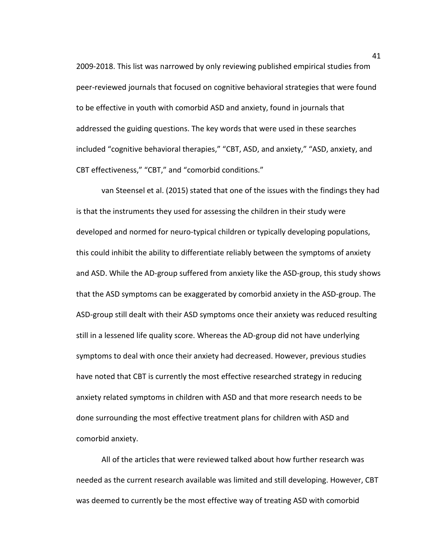2009-2018. This list was narrowed by only reviewing published empirical studies from peer-reviewed journals that focused on cognitive behavioral strategies that were found to be effective in youth with comorbid ASD and anxiety, found in journals that addressed the guiding questions. The key words that were used in these searches included "cognitive behavioral therapies," "CBT, ASD, and anxiety," "ASD, anxiety, and CBT effectiveness," "CBT," and "comorbid conditions."

van Steensel et al. (2015) stated that one of the issues with the findings they had is that the instruments they used for assessing the children in their study were developed and normed for neuro-typical children or typically developing populations, this could inhibit the ability to differentiate reliably between the symptoms of anxiety and ASD. While the AD-group suffered from anxiety like the ASD-group, this study shows that the ASD symptoms can be exaggerated by comorbid anxiety in the ASD-group. The ASD-group still dealt with their ASD symptoms once their anxiety was reduced resulting still in a lessened life quality score. Whereas the AD-group did not have underlying symptoms to deal with once their anxiety had decreased. However, previous studies have noted that CBT is currently the most effective researched strategy in reducing anxiety related symptoms in children with ASD and that more research needs to be done surrounding the most effective treatment plans for children with ASD and comorbid anxiety.

All of the articles that were reviewed talked about how further research was needed as the current research available was limited and still developing. However, CBT was deemed to currently be the most effective way of treating ASD with comorbid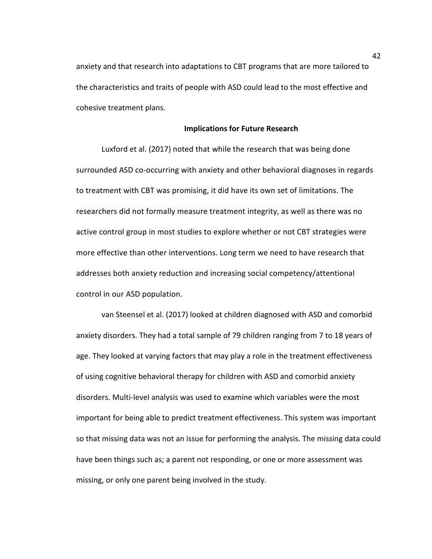anxiety and that research into adaptations to CBT programs that are more tailored to the characteristics and traits of people with ASD could lead to the most effective and cohesive treatment plans.

#### **Implications for Future Research**

Luxford et al. (2017) noted that while the research that was being done surrounded ASD co-occurring with anxiety and other behavioral diagnoses in regards to treatment with CBT was promising, it did have its own set of limitations. The researchers did not formally measure treatment integrity, as well as there was no active control group in most studies to explore whether or not CBT strategies were more effective than other interventions. Long term we need to have research that addresses both anxiety reduction and increasing social competency/attentional control in our ASD population.

van Steensel et al. (2017) looked at children diagnosed with ASD and comorbid anxiety disorders. They had a total sample of 79 children ranging from 7 to 18 years of age. They looked at varying factors that may play a role in the treatment effectiveness of using cognitive behavioral therapy for children with ASD and comorbid anxiety disorders. Multi-level analysis was used to examine which variables were the most important for being able to predict treatment effectiveness. This system was important so that missing data was not an issue for performing the analysis. The missing data could have been things such as; a parent not responding, or one or more assessment was missing, or only one parent being involved in the study.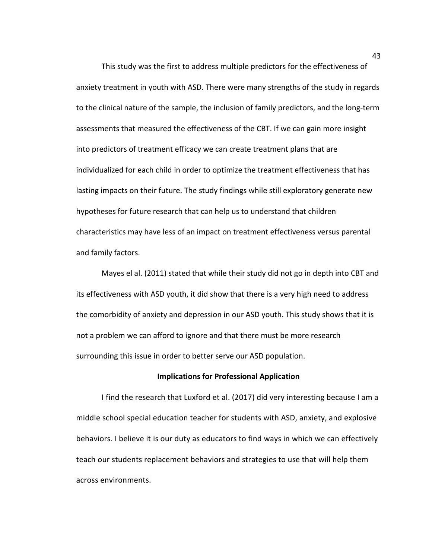This study was the first to address multiple predictors for the effectiveness of anxiety treatment in youth with ASD. There were many strengths of the study in regards to the clinical nature of the sample, the inclusion of family predictors, and the long-term assessments that measured the effectiveness of the CBT. If we can gain more insight into predictors of treatment efficacy we can create treatment plans that are individualized for each child in order to optimize the treatment effectiveness that has lasting impacts on their future. The study findings while still exploratory generate new hypotheses for future research that can help us to understand that children characteristics may have less of an impact on treatment effectiveness versus parental and family factors.

Mayes el al. (2011) stated that while their study did not go in depth into CBT and its effectiveness with ASD youth, it did show that there is a very high need to address the comorbidity of anxiety and depression in our ASD youth. This study shows that it is not a problem we can afford to ignore and that there must be more research surrounding this issue in order to better serve our ASD population.

## **Implications for Professional Application**

I find the research that Luxford et al. (2017) did very interesting because I am a middle school special education teacher for students with ASD, anxiety, and explosive behaviors. I believe it is our duty as educators to find ways in which we can effectively teach our students replacement behaviors and strategies to use that will help them across environments.

43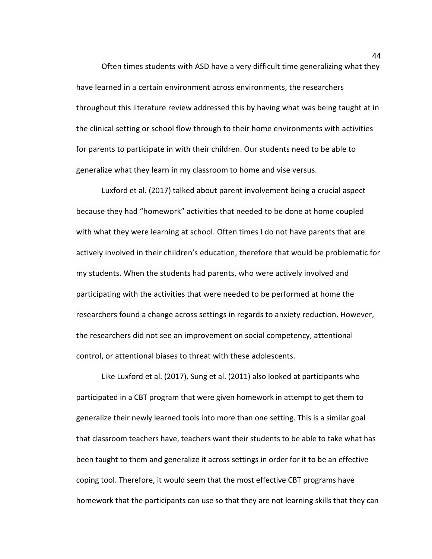Often times students with ASD have a very difficult time generalizing what they have learned in a certain environment across environments, the researchers throughout this literature review addressed this by having what was being taught at in the clinical setting or school flow through to their home environments with activities for parents to participate in with their children. Our students need to be able to generalize what they learn in my classroom to home and vise versus.

Luxford et al. (2017) talked about parent involvement being a crucial aspect because they had "homework" activities that needed to be done at home coupled with what they were learning at school. Often times I do not have parents that are actively involved in their children's education, therefore that would be problematic for my students. When the students had parents, who were actively involved and participating with the activities that were needed to be performed at home the researchers found a change across settings in regards to anxiety reduction. However, the researchers did not see an improvement on social competency, attentional control, or attentional biases to threat with these adolescents.

Like Luxford et al. (2017), Sung et al. (2011) also looked at participants who participated in a CBT program that were given homework in attempt to get them to generalize their newly learned tools into more than one setting. This is a similar goal that classroom teachers have, teachers want their students to be able to take what has been taught to them and generalize it across settings in order for it to be an effective coping tool. Therefore, it would seem that the most effective CBT programs have homework that the participants can use so that they are not learning skills that they can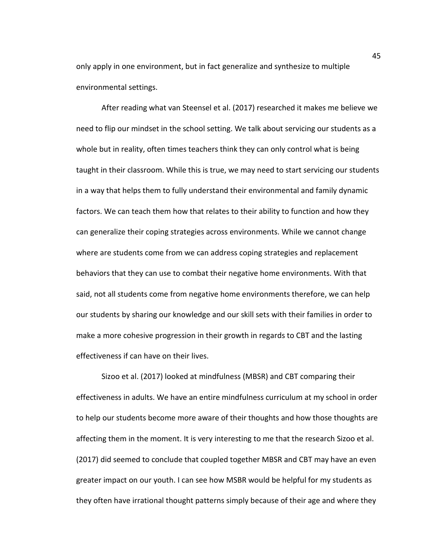only apply in one environment, but in fact generalize and synthesize to multiple environmental settings.

After reading what van Steensel et al. (2017) researched it makes me believe we need to flip our mindset in the school setting. We talk about servicing our students as a whole but in reality, often times teachers think they can only control what is being taught in their classroom. While this is true, we may need to start servicing our students in a way that helps them to fully understand their environmental and family dynamic factors. We can teach them how that relates to their ability to function and how they can generalize their coping strategies across environments. While we cannot change where are students come from we can address coping strategies and replacement behaviors that they can use to combat their negative home environments. With that said, not all students come from negative home environments therefore, we can help our students by sharing our knowledge and our skill sets with their families in order to make a more cohesive progression in their growth in regards to CBT and the lasting effectiveness if can have on their lives.

Sizoo et al. (2017) looked at mindfulness (MBSR) and CBT comparing their effectiveness in adults. We have an entire mindfulness curriculum at my school in order to help our students become more aware of their thoughts and how those thoughts are affecting them in the moment. It is very interesting to me that the research Sizoo et al. (2017) did seemed to conclude that coupled together MBSR and CBT may have an even greater impact on our youth. I can see how MSBR would be helpful for my students as they often have irrational thought patterns simply because of their age and where they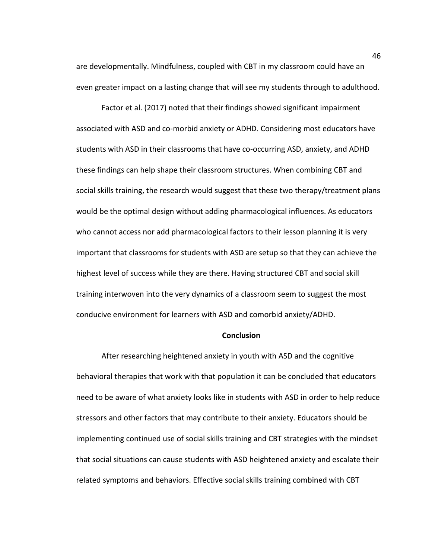are developmentally. Mindfulness, coupled with CBT in my classroom could have an even greater impact on a lasting change that will see my students through to adulthood.

Factor et al. (2017) noted that their findings showed significant impairment associated with ASD and co-morbid anxiety or ADHD. Considering most educators have students with ASD in their classrooms that have co-occurring ASD, anxiety, and ADHD these findings can help shape their classroom structures. When combining CBT and social skills training, the research would suggest that these two therapy/treatment plans would be the optimal design without adding pharmacological influences. As educators who cannot access nor add pharmacological factors to their lesson planning it is very important that classrooms for students with ASD are setup so that they can achieve the highest level of success while they are there. Having structured CBT and social skill training interwoven into the very dynamics of a classroom seem to suggest the most conducive environment for learners with ASD and comorbid anxiety/ADHD.

#### **Conclusion**

After researching heightened anxiety in youth with ASD and the cognitive behavioral therapies that work with that population it can be concluded that educators need to be aware of what anxiety looks like in students with ASD in order to help reduce stressors and other factors that may contribute to their anxiety. Educators should be implementing continued use of social skills training and CBT strategies with the mindset that social situations can cause students with ASD heightened anxiety and escalate their related symptoms and behaviors. Effective social skills training combined with CBT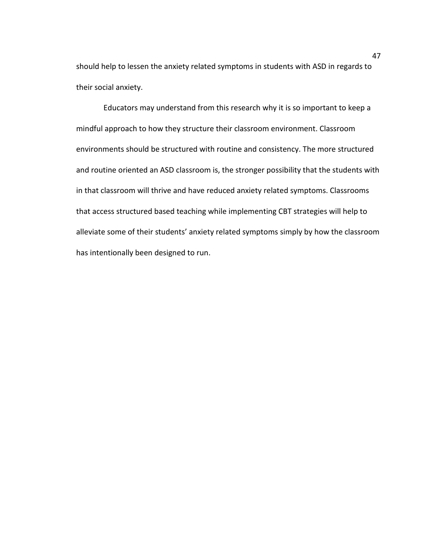should help to lessen the anxiety related symptoms in students with ASD in regards to their social anxiety.

Educators may understand from this research why it is so important to keep a mindful approach to how they structure their classroom environment. Classroom environments should be structured with routine and consistency. The more structured and routine oriented an ASD classroom is, the stronger possibility that the students with in that classroom will thrive and have reduced anxiety related symptoms. Classrooms that access structured based teaching while implementing CBT strategies will help to alleviate some of their students' anxiety related symptoms simply by how the classroom has intentionally been designed to run.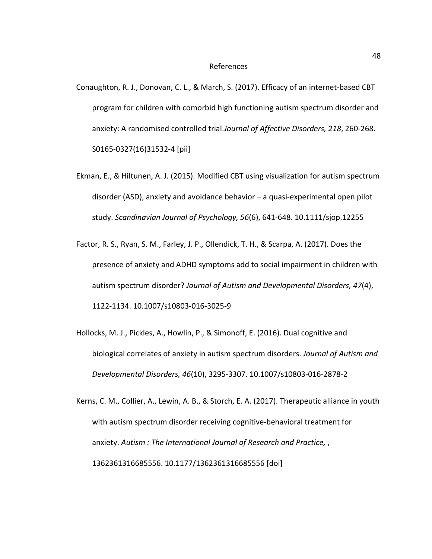- Conaughton, R. J., Donovan, C. L., & March, S. (2017). Efficacy of an internet-based CBT program for children with comorbid high functioning autism spectrum disorder and anxiety: A randomised controlled trial.*Journal of Affective Disorders, 218*, 260-268. S0165-0327(16)31532-4 [pii]
- Ekman, E., & Hiltunen, A. J. (2015). Modified CBT using visualization for autism spectrum disorder (ASD), anxiety and avoidance behavior – a quasi-experimental open pilot study. *Scandinavian Journal of Psychology, 56*(6), 641-648. 10.1111/sjop.12255
- Factor, R. S., Ryan, S. M., Farley, J. P., Ollendick, T. H., & Scarpa, A. (2017). Does the presence of anxiety and ADHD symptoms add to social impairment in children with autism spectrum disorder? *Journal of Autism and Developmental Disorders, 47*(4), 1122-1134. 10.1007/s10803-016-3025-9
- Hollocks, M. J., Pickles, A., Howlin, P., & Simonoff, E. (2016). Dual cognitive and biological correlates of anxiety in autism spectrum disorders. *Journal of Autism and Developmental Disorders, 46*(10), 3295-3307. 10.1007/s10803-016-2878-2
- Kerns, C. M., Collier, A., Lewin, A. B., & Storch, E. A. (2017). Therapeutic alliance in youth with autism spectrum disorder receiving cognitive-behavioral treatment for anxiety. *Autism : The International Journal of Research and Practice,* , 1362361316685556. 10.1177/1362361316685556 [doi]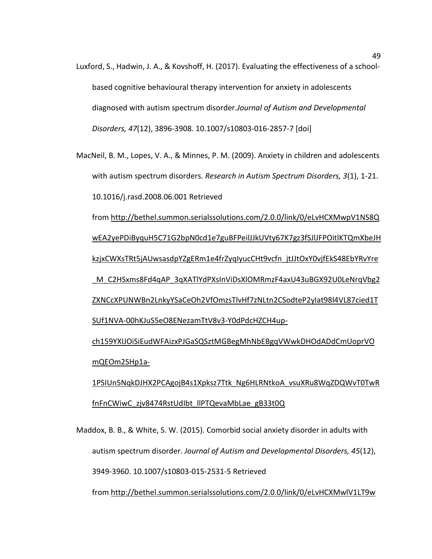- Luxford, S., Hadwin, J. A., & Kovshoff, H. (2017). Evaluating the effectiveness of a schoolbased cognitive behavioural therapy intervention for anxiety in adolescents diagnosed with autism spectrum disorder.*Journal of Autism and Developmental Disorders, 47*(12), 3896-3908. 10.1007/s10803-016-2857-7 [doi]
- MacNeil, B. M., Lopes, V. A., & Minnes, P. M. (2009). Anxiety in children and adolescents with autism spectrum disorders. *Research in Autism Spectrum Disorders, 3*(1), 1-21. 10.1016/j.rasd.2008.06.001 Retrieved

from [http://bethel.summon.serialssolutions.com/2.0.0/link/0/eLvHCXMwpV1NS8Q](http://bethel.summon.serialssolutions.com/2.0.0/link/0/eLvHCXMwpV1NS8QwEA2yePDiByquH5C71G2bpN0cd1e7guBFPeilJJkUVty67K7gz3fSJlJFPOitlKTQmXbeJHkzjxCWXsTRt5jAUwsasdpYZgERm1e4frZyqIyucCHt9vcfn_jtJJtOxY0vjfEkS48EbYRvYre_M_C2HSxms8Fd4qAP_3qXATlYdPXsInViDsXlOMRmzF4axU43uBGX92U0LeNrqVbg2ZXNCcXPUNWBn2LnkyYSaCeOh2VfOmzsTlvHf7zNLtn2CSodteP2yIat98l4VL87cied1TSUf1NVA-00hKJuS5eO8ENezamTtV8v3-Y0dPdcHZCH4up-ch159YXIJOiSiEudWFAizxPJGaSQSztMGBegMhNbEBgqVWwkDHOdADdCmUoprVOmQEOm2SHp1a-1PSIUn5NqkDJHX2PCAgojB4s1Xpksz7Ttk_Ng6HLRNtkoA_vsuXRu8WqZDQWvT0TwRfnFnCWiwC_zjv8474RstUdIbt_llPTQevaMbLae_gB33t0Q) [wEA2yePDiByquH5C71G2bpN0cd1e7guBFPeilJJkUVty67K7gz3fSJlJFPOitlKTQmXbeJH](http://bethel.summon.serialssolutions.com/2.0.0/link/0/eLvHCXMwpV1NS8QwEA2yePDiByquH5C71G2bpN0cd1e7guBFPeilJJkUVty67K7gz3fSJlJFPOitlKTQmXbeJHkzjxCWXsTRt5jAUwsasdpYZgERm1e4frZyqIyucCHt9vcfn_jtJJtOxY0vjfEkS48EbYRvYre_M_C2HSxms8Fd4qAP_3qXATlYdPXsInViDsXlOMRmzF4axU43uBGX92U0LeNrqVbg2ZXNCcXPUNWBn2LnkyYSaCeOh2VfOmzsTlvHf7zNLtn2CSodteP2yIat98l4VL87cied1TSUf1NVA-00hKJuS5eO8ENezamTtV8v3-Y0dPdcHZCH4up-ch159YXIJOiSiEudWFAizxPJGaSQSztMGBegMhNbEBgqVWwkDHOdADdCmUoprVOmQEOm2SHp1a-1PSIUn5NqkDJHX2PCAgojB4s1Xpksz7Ttk_Ng6HLRNtkoA_vsuXRu8WqZDQWvT0TwRfnFnCWiwC_zjv8474RstUdIbt_llPTQevaMbLae_gB33t0Q) [kzjxCWXsTRt5jAUwsasdpYZgERm1e4frZyqIyucCHt9vcfn\\_jtJJtOxY0vjfEkS48EbYRvYre](http://bethel.summon.serialssolutions.com/2.0.0/link/0/eLvHCXMwpV1NS8QwEA2yePDiByquH5C71G2bpN0cd1e7guBFPeilJJkUVty67K7gz3fSJlJFPOitlKTQmXbeJHkzjxCWXsTRt5jAUwsasdpYZgERm1e4frZyqIyucCHt9vcfn_jtJJtOxY0vjfEkS48EbYRvYre_M_C2HSxms8Fd4qAP_3qXATlYdPXsInViDsXlOMRmzF4axU43uBGX92U0LeNrqVbg2ZXNCcXPUNWBn2LnkyYSaCeOh2VfOmzsTlvHf7zNLtn2CSodteP2yIat98l4VL87cied1TSUf1NVA-00hKJuS5eO8ENezamTtV8v3-Y0dPdcHZCH4up-ch159YXIJOiSiEudWFAizxPJGaSQSztMGBegMhNbEBgqVWwkDHOdADdCmUoprVOmQEOm2SHp1a-1PSIUn5NqkDJHX2PCAgojB4s1Xpksz7Ttk_Ng6HLRNtkoA_vsuXRu8WqZDQWvT0TwRfnFnCWiwC_zjv8474RstUdIbt_llPTQevaMbLae_gB33t0Q) [\\_M\\_C2HSxms8Fd4qAP\\_3qXATlYdPXsInViDsXlOMRmzF4axU43uBGX92U0LeNrqVbg2](http://bethel.summon.serialssolutions.com/2.0.0/link/0/eLvHCXMwpV1NS8QwEA2yePDiByquH5C71G2bpN0cd1e7guBFPeilJJkUVty67K7gz3fSJlJFPOitlKTQmXbeJHkzjxCWXsTRt5jAUwsasdpYZgERm1e4frZyqIyucCHt9vcfn_jtJJtOxY0vjfEkS48EbYRvYre_M_C2HSxms8Fd4qAP_3qXATlYdPXsInViDsXlOMRmzF4axU43uBGX92U0LeNrqVbg2ZXNCcXPUNWBn2LnkyYSaCeOh2VfOmzsTlvHf7zNLtn2CSodteP2yIat98l4VL87cied1TSUf1NVA-00hKJuS5eO8ENezamTtV8v3-Y0dPdcHZCH4up-ch159YXIJOiSiEudWFAizxPJGaSQSztMGBegMhNbEBgqVWwkDHOdADdCmUoprVOmQEOm2SHp1a-1PSIUn5NqkDJHX2PCAgojB4s1Xpksz7Ttk_Ng6HLRNtkoA_vsuXRu8WqZDQWvT0TwRfnFnCWiwC_zjv8474RstUdIbt_llPTQevaMbLae_gB33t0Q) [ZXNCcXPUNWBn2LnkyYSaCeOh2VfOmzsTlvHf7zNLtn2CSodteP2yIat98l4VL87cied1T](http://bethel.summon.serialssolutions.com/2.0.0/link/0/eLvHCXMwpV1NS8QwEA2yePDiByquH5C71G2bpN0cd1e7guBFPeilJJkUVty67K7gz3fSJlJFPOitlKTQmXbeJHkzjxCWXsTRt5jAUwsasdpYZgERm1e4frZyqIyucCHt9vcfn_jtJJtOxY0vjfEkS48EbYRvYre_M_C2HSxms8Fd4qAP_3qXATlYdPXsInViDsXlOMRmzF4axU43uBGX92U0LeNrqVbg2ZXNCcXPUNWBn2LnkyYSaCeOh2VfOmzsTlvHf7zNLtn2CSodteP2yIat98l4VL87cied1TSUf1NVA-00hKJuS5eO8ENezamTtV8v3-Y0dPdcHZCH4up-ch159YXIJOiSiEudWFAizxPJGaSQSztMGBegMhNbEBgqVWwkDHOdADdCmUoprVOmQEOm2SHp1a-1PSIUn5NqkDJHX2PCAgojB4s1Xpksz7Ttk_Ng6HLRNtkoA_vsuXRu8WqZDQWvT0TwRfnFnCWiwC_zjv8474RstUdIbt_llPTQevaMbLae_gB33t0Q) [SUf1NVA-00hKJuS5eO8ENezamTtV8v3-Y0dPdcHZCH4up-](http://bethel.summon.serialssolutions.com/2.0.0/link/0/eLvHCXMwpV1NS8QwEA2yePDiByquH5C71G2bpN0cd1e7guBFPeilJJkUVty67K7gz3fSJlJFPOitlKTQmXbeJHkzjxCWXsTRt5jAUwsasdpYZgERm1e4frZyqIyucCHt9vcfn_jtJJtOxY0vjfEkS48EbYRvYre_M_C2HSxms8Fd4qAP_3qXATlYdPXsInViDsXlOMRmzF4axU43uBGX92U0LeNrqVbg2ZXNCcXPUNWBn2LnkyYSaCeOh2VfOmzsTlvHf7zNLtn2CSodteP2yIat98l4VL87cied1TSUf1NVA-00hKJuS5eO8ENezamTtV8v3-Y0dPdcHZCH4up-ch159YXIJOiSiEudWFAizxPJGaSQSztMGBegMhNbEBgqVWwkDHOdADdCmUoprVOmQEOm2SHp1a-1PSIUn5NqkDJHX2PCAgojB4s1Xpksz7Ttk_Ng6HLRNtkoA_vsuXRu8WqZDQWvT0TwRfnFnCWiwC_zjv8474RstUdIbt_llPTQevaMbLae_gB33t0Q)

[ch159YXIJOiSiEudWFAizxPJGaSQSztMGBegMhNbEBgqVWwkDHOdADdCmUoprVO](http://bethel.summon.serialssolutions.com/2.0.0/link/0/eLvHCXMwpV1NS8QwEA2yePDiByquH5C71G2bpN0cd1e7guBFPeilJJkUVty67K7gz3fSJlJFPOitlKTQmXbeJHkzjxCWXsTRt5jAUwsasdpYZgERm1e4frZyqIyucCHt9vcfn_jtJJtOxY0vjfEkS48EbYRvYre_M_C2HSxms8Fd4qAP_3qXATlYdPXsInViDsXlOMRmzF4axU43uBGX92U0LeNrqVbg2ZXNCcXPUNWBn2LnkyYSaCeOh2VfOmzsTlvHf7zNLtn2CSodteP2yIat98l4VL87cied1TSUf1NVA-00hKJuS5eO8ENezamTtV8v3-Y0dPdcHZCH4up-ch159YXIJOiSiEudWFAizxPJGaSQSztMGBegMhNbEBgqVWwkDHOdADdCmUoprVOmQEOm2SHp1a-1PSIUn5NqkDJHX2PCAgojB4s1Xpksz7Ttk_Ng6HLRNtkoA_vsuXRu8WqZDQWvT0TwRfnFnCWiwC_zjv8474RstUdIbt_llPTQevaMbLae_gB33t0Q) [mQEOm2SHp1a-](http://bethel.summon.serialssolutions.com/2.0.0/link/0/eLvHCXMwpV1NS8QwEA2yePDiByquH5C71G2bpN0cd1e7guBFPeilJJkUVty67K7gz3fSJlJFPOitlKTQmXbeJHkzjxCWXsTRt5jAUwsasdpYZgERm1e4frZyqIyucCHt9vcfn_jtJJtOxY0vjfEkS48EbYRvYre_M_C2HSxms8Fd4qAP_3qXATlYdPXsInViDsXlOMRmzF4axU43uBGX92U0LeNrqVbg2ZXNCcXPUNWBn2LnkyYSaCeOh2VfOmzsTlvHf7zNLtn2CSodteP2yIat98l4VL87cied1TSUf1NVA-00hKJuS5eO8ENezamTtV8v3-Y0dPdcHZCH4up-ch159YXIJOiSiEudWFAizxPJGaSQSztMGBegMhNbEBgqVWwkDHOdADdCmUoprVOmQEOm2SHp1a-1PSIUn5NqkDJHX2PCAgojB4s1Xpksz7Ttk_Ng6HLRNtkoA_vsuXRu8WqZDQWvT0TwRfnFnCWiwC_zjv8474RstUdIbt_llPTQevaMbLae_gB33t0Q)

[1PSIUn5NqkDJHX2PCAgojB4s1Xpksz7Ttk\\_Ng6HLRNtkoA\\_vsuXRu8WqZDQWvT0TwR](http://bethel.summon.serialssolutions.com/2.0.0/link/0/eLvHCXMwpV1NS8QwEA2yePDiByquH5C71G2bpN0cd1e7guBFPeilJJkUVty67K7gz3fSJlJFPOitlKTQmXbeJHkzjxCWXsTRt5jAUwsasdpYZgERm1e4frZyqIyucCHt9vcfn_jtJJtOxY0vjfEkS48EbYRvYre_M_C2HSxms8Fd4qAP_3qXATlYdPXsInViDsXlOMRmzF4axU43uBGX92U0LeNrqVbg2ZXNCcXPUNWBn2LnkyYSaCeOh2VfOmzsTlvHf7zNLtn2CSodteP2yIat98l4VL87cied1TSUf1NVA-00hKJuS5eO8ENezamTtV8v3-Y0dPdcHZCH4up-ch159YXIJOiSiEudWFAizxPJGaSQSztMGBegMhNbEBgqVWwkDHOdADdCmUoprVOmQEOm2SHp1a-1PSIUn5NqkDJHX2PCAgojB4s1Xpksz7Ttk_Ng6HLRNtkoA_vsuXRu8WqZDQWvT0TwRfnFnCWiwC_zjv8474RstUdIbt_llPTQevaMbLae_gB33t0Q) [fnFnCWiwC\\_zjv8474RstUdIbt\\_llPTQevaMbLae\\_gB33t0Q](http://bethel.summon.serialssolutions.com/2.0.0/link/0/eLvHCXMwpV1NS8QwEA2yePDiByquH5C71G2bpN0cd1e7guBFPeilJJkUVty67K7gz3fSJlJFPOitlKTQmXbeJHkzjxCWXsTRt5jAUwsasdpYZgERm1e4frZyqIyucCHt9vcfn_jtJJtOxY0vjfEkS48EbYRvYre_M_C2HSxms8Fd4qAP_3qXATlYdPXsInViDsXlOMRmzF4axU43uBGX92U0LeNrqVbg2ZXNCcXPUNWBn2LnkyYSaCeOh2VfOmzsTlvHf7zNLtn2CSodteP2yIat98l4VL87cied1TSUf1NVA-00hKJuS5eO8ENezamTtV8v3-Y0dPdcHZCH4up-ch159YXIJOiSiEudWFAizxPJGaSQSztMGBegMhNbEBgqVWwkDHOdADdCmUoprVOmQEOm2SHp1a-1PSIUn5NqkDJHX2PCAgojB4s1Xpksz7Ttk_Ng6HLRNtkoA_vsuXRu8WqZDQWvT0TwRfnFnCWiwC_zjv8474RstUdIbt_llPTQevaMbLae_gB33t0Q)

Maddox, B. B., & White, S. W. (2015). Comorbid social anxiety disorder in adults with autism spectrum disorder. *Journal of Autism and Developmental Disorders, 45*(12), 3949-3960. 10.1007/s10803-015-2531-5 Retrieved

from [http://bethel.summon.serialssolutions.com/2.0.0/link/0/eLvHCXMwlV1LT9w](http://bethel.summon.serialssolutions.com/2.0.0/link/0/eLvHCXMwlV1LT9wwEB4hVCEk1JZtgaVU-NQDImj92DyOEeJxaYUEvXCxHD8kBGTRLkj03zMTJyFdOLS3KBlHY8_n8djzMIAUR5NkSSdIH6SsKumySZBkkljjrZSpsiFQETk64r1Wv47Ts7Mp7htFf5JR3x51DspGbw9S3_ImEmiaCIRRQmnmHK0VRPRlefFadjePfgSeikQiOju_5nt_-GtlWtbPgwVqyWPaLESnn6BLGu8CUCgiy98N4rIHBR7_o1-f4WNrmrIyYmkTVnw9olud2wiQEaz9bB3xI1jvFeefEWzEsz8WU5q-wDkqmdm8unEsJv-ysn6m0FDWlfpkNzUrqfDHgtE5MCsR_Yt7dklZn_On-57uK_w-Pbk6Pk_aGxsSK8mlnEqpMlUE3OMVIUhrhOPK29zn3BieSdzvWJvzzKqpctaYwitX5aoKouAqZFZuwWo9q_0OMJMWWcgnwlnuVRooDLYKJgRnvSsMD2M46KSlH2JhDv1agpkGUeMgahpEPR3DPslTx9zSflLrEo1FTjXo-Ri2Gwqa1o9zY_Xgy14HAt3O74XGvpBDOeMKG0Zg9FyIVKBVJvMxHHYiHnBIjAnirJVm5PDBYYd-vCFvCGMbhQ-iId79V8JvsE7vY_DNHqyiBP13-BCB-QIbKg0K)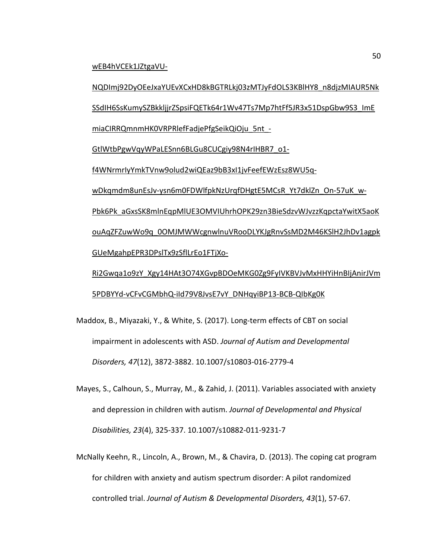[wEB4hVCEk1JZtgaVU-](http://bethel.summon.serialssolutions.com/2.0.0/link/0/eLvHCXMwlV1LT9wwEB4hVCEk1JZtgaVU-NQDImj92DyOEeJxaYUEvXCxHD8kBGTRLkj03zMTJyFdOLS3KBlHY8_n8djzMIAUR5NkSSdIH6SsKumySZBkkljjrZSpsiFQETk64r1Wv47Ts7Mp7htFf5JR3x51DspGbw9S3_ImEmiaCIRRQmnmHK0VRPRlefFadjePfgSeikQiOju_5nt_-GtlWtbPgwVqyWPaLESnn6BLGu8CUCgiy98N4rIHBR7_o1-f4WNrmrIyYmkTVnw9olud2wiQEaz9bB3xI1jvFeefEWzEsz8WU5q-wDkqmdm8unEsJv-ysn6m0FDWlfpkNzUrqfDHgtE5MCsR_Yt7dklZn_On-57uK_w-Pbk6Pk_aGxsSK8mlnEqpMlUE3OMVIUhrhOPK29zn3BieSdzvWJvzzKqpctaYwitX5aoKouAqZFZuwWo9q_0OMJMWWcgnwlnuVRooDLYKJgRnvSsMD2M46KSlH2JhDv1agpkGUeMgahpEPR3DPslTx9zSflLrEo1FTjXo-Ri2Gwqa1o9zY_Xgy14HAt3O74XGvpBDOeMKG0Zg9FyIVKBVJvMxHHYiHnBIjAnirJVm5PDBYYd-vCFvCGMbhQ-iId79V8JvsE7vY_DNHqyiBP13-BCB-QIbKg0K)

[NQDImj92DyOEeJxaYUEvXCxHD8kBGTRLkj03zMTJyFdOLS3KBlHY8\\_n8djzMIAUR5Nk](http://bethel.summon.serialssolutions.com/2.0.0/link/0/eLvHCXMwlV1LT9wwEB4hVCEk1JZtgaVU-NQDImj92DyOEeJxaYUEvXCxHD8kBGTRLkj03zMTJyFdOLS3KBlHY8_n8djzMIAUR5NkSSdIH6SsKumySZBkkljjrZSpsiFQETk64r1Wv47Ts7Mp7htFf5JR3x51DspGbw9S3_ImEmiaCIRRQmnmHK0VRPRlefFadjePfgSeikQiOju_5nt_-GtlWtbPgwVqyWPaLESnn6BLGu8CUCgiy98N4rIHBR7_o1-f4WNrmrIyYmkTVnw9olud2wiQEaz9bB3xI1jvFeefEWzEsz8WU5q-wDkqmdm8unEsJv-ysn6m0FDWlfpkNzUrqfDHgtE5MCsR_Yt7dklZn_On-57uK_w-Pbk6Pk_aGxsSK8mlnEqpMlUE3OMVIUhrhOPK29zn3BieSdzvWJvzzKqpctaYwitX5aoKouAqZFZuwWo9q_0OMJMWWcgnwlnuVRooDLYKJgRnvSsMD2M46KSlH2JhDv1agpkGUeMgahpEPR3DPslTx9zSflLrEo1FTjXo-Ri2Gwqa1o9zY_Xgy14HAt3O74XGvpBDOeMKG0Zg9FyIVKBVJvMxHHYiHnBIjAnirJVm5PDBYYd-vCFvCGMbhQ-iId79V8JvsE7vY_DNHqyiBP13-BCB-QIbKg0K) [SSdIH6SsKumySZBkkljjrZSpsiFQETk64r1Wv47Ts7Mp7htFf5JR3x51DspGbw9S3\\_ImE](http://bethel.summon.serialssolutions.com/2.0.0/link/0/eLvHCXMwlV1LT9wwEB4hVCEk1JZtgaVU-NQDImj92DyOEeJxaYUEvXCxHD8kBGTRLkj03zMTJyFdOLS3KBlHY8_n8djzMIAUR5NkSSdIH6SsKumySZBkkljjrZSpsiFQETk64r1Wv47Ts7Mp7htFf5JR3x51DspGbw9S3_ImEmiaCIRRQmnmHK0VRPRlefFadjePfgSeikQiOju_5nt_-GtlWtbPgwVqyWPaLESnn6BLGu8CUCgiy98N4rIHBR7_o1-f4WNrmrIyYmkTVnw9olud2wiQEaz9bB3xI1jvFeefEWzEsz8WU5q-wDkqmdm8unEsJv-ysn6m0FDWlfpkNzUrqfDHgtE5MCsR_Yt7dklZn_On-57uK_w-Pbk6Pk_aGxsSK8mlnEqpMlUE3OMVIUhrhOPK29zn3BieSdzvWJvzzKqpctaYwitX5aoKouAqZFZuwWo9q_0OMJMWWcgnwlnuVRooDLYKJgRnvSsMD2M46KSlH2JhDv1agpkGUeMgahpEPR3DPslTx9zSflLrEo1FTjXo-Ri2Gwqa1o9zY_Xgy14HAt3O74XGvpBDOeMKG0Zg9FyIVKBVJvMxHHYiHnBIjAnirJVm5PDBYYd-vCFvCGMbhQ-iId79V8JvsE7vY_DNHqyiBP13-BCB-QIbKg0K) [miaCIRRQmnmHK0VRPRlefFadjePfgSeikQiOju\\_5nt\\_-](http://bethel.summon.serialssolutions.com/2.0.0/link/0/eLvHCXMwlV1LT9wwEB4hVCEk1JZtgaVU-NQDImj92DyOEeJxaYUEvXCxHD8kBGTRLkj03zMTJyFdOLS3KBlHY8_n8djzMIAUR5NkSSdIH6SsKumySZBkkljjrZSpsiFQETk64r1Wv47Ts7Mp7htFf5JR3x51DspGbw9S3_ImEmiaCIRRQmnmHK0VRPRlefFadjePfgSeikQiOju_5nt_-GtlWtbPgwVqyWPaLESnn6BLGu8CUCgiy98N4rIHBR7_o1-f4WNrmrIyYmkTVnw9olud2wiQEaz9bB3xI1jvFeefEWzEsz8WU5q-wDkqmdm8unEsJv-ysn6m0FDWlfpkNzUrqfDHgtE5MCsR_Yt7dklZn_On-57uK_w-Pbk6Pk_aGxsSK8mlnEqpMlUE3OMVIUhrhOPK29zn3BieSdzvWJvzzKqpctaYwitX5aoKouAqZFZuwWo9q_0OMJMWWcgnwlnuVRooDLYKJgRnvSsMD2M46KSlH2JhDv1agpkGUeMgahpEPR3DPslTx9zSflLrEo1FTjXo-Ri2Gwqa1o9zY_Xgy14HAt3O74XGvpBDOeMKG0Zg9FyIVKBVJvMxHHYiHnBIjAnirJVm5PDBYYd-vCFvCGMbhQ-iId79V8JvsE7vY_DNHqyiBP13-BCB-QIbKg0K) [GtlWtbPgwVqyWPaLESnn6BLGu8CUCgiy98N4rIHBR7\\_o1](http://bethel.summon.serialssolutions.com/2.0.0/link/0/eLvHCXMwlV1LT9wwEB4hVCEk1JZtgaVU-NQDImj92DyOEeJxaYUEvXCxHD8kBGTRLkj03zMTJyFdOLS3KBlHY8_n8djzMIAUR5NkSSdIH6SsKumySZBkkljjrZSpsiFQETk64r1Wv47Ts7Mp7htFf5JR3x51DspGbw9S3_ImEmiaCIRRQmnmHK0VRPRlefFadjePfgSeikQiOju_5nt_-GtlWtbPgwVqyWPaLESnn6BLGu8CUCgiy98N4rIHBR7_o1-f4WNrmrIyYmkTVnw9olud2wiQEaz9bB3xI1jvFeefEWzEsz8WU5q-wDkqmdm8unEsJv-ysn6m0FDWlfpkNzUrqfDHgtE5MCsR_Yt7dklZn_On-57uK_w-Pbk6Pk_aGxsSK8mlnEqpMlUE3OMVIUhrhOPK29zn3BieSdzvWJvzzKqpctaYwitX5aoKouAqZFZuwWo9q_0OMJMWWcgnwlnuVRooDLYKJgRnvSsMD2M46KSlH2JhDv1agpkGUeMgahpEPR3DPslTx9zSflLrEo1FTjXo-Ri2Gwqa1o9zY_Xgy14HAt3O74XGvpBDOeMKG0Zg9FyIVKBVJvMxHHYiHnBIjAnirJVm5PDBYYd-vCFvCGMbhQ-iId79V8JvsE7vY_DNHqyiBP13-BCB-QIbKg0K) [f4WNrmrIyYmkTVnw9olud2wiQEaz9bB3xI1jvFeefEWzEsz8WU5q](http://bethel.summon.serialssolutions.com/2.0.0/link/0/eLvHCXMwlV1LT9wwEB4hVCEk1JZtgaVU-NQDImj92DyOEeJxaYUEvXCxHD8kBGTRLkj03zMTJyFdOLS3KBlHY8_n8djzMIAUR5NkSSdIH6SsKumySZBkkljjrZSpsiFQETk64r1Wv47Ts7Mp7htFf5JR3x51DspGbw9S3_ImEmiaCIRRQmnmHK0VRPRlefFadjePfgSeikQiOju_5nt_-GtlWtbPgwVqyWPaLESnn6BLGu8CUCgiy98N4rIHBR7_o1-f4WNrmrIyYmkTVnw9olud2wiQEaz9bB3xI1jvFeefEWzEsz8WU5q-wDkqmdm8unEsJv-ysn6m0FDWlfpkNzUrqfDHgtE5MCsR_Yt7dklZn_On-57uK_w-Pbk6Pk_aGxsSK8mlnEqpMlUE3OMVIUhrhOPK29zn3BieSdzvWJvzzKqpctaYwitX5aoKouAqZFZuwWo9q_0OMJMWWcgnwlnuVRooDLYKJgRnvSsMD2M46KSlH2JhDv1agpkGUeMgahpEPR3DPslTx9zSflLrEo1FTjXo-Ri2Gwqa1o9zY_Xgy14HAt3O74XGvpBDOeMKG0Zg9FyIVKBVJvMxHHYiHnBIjAnirJVm5PDBYYd-vCFvCGMbhQ-iId79V8JvsE7vY_DNHqyiBP13-BCB-QIbKg0K)[wDkqmdm8unEsJv-ysn6m0FDWlfpkNzUrqfDHgtE5MCsR\\_Yt7dklZn\\_On-57uK\\_w-](http://bethel.summon.serialssolutions.com/2.0.0/link/0/eLvHCXMwlV1LT9wwEB4hVCEk1JZtgaVU-NQDImj92DyOEeJxaYUEvXCxHD8kBGTRLkj03zMTJyFdOLS3KBlHY8_n8djzMIAUR5NkSSdIH6SsKumySZBkkljjrZSpsiFQETk64r1Wv47Ts7Mp7htFf5JR3x51DspGbw9S3_ImEmiaCIRRQmnmHK0VRPRlefFadjePfgSeikQiOju_5nt_-GtlWtbPgwVqyWPaLESnn6BLGu8CUCgiy98N4rIHBR7_o1-f4WNrmrIyYmkTVnw9olud2wiQEaz9bB3xI1jvFeefEWzEsz8WU5q-wDkqmdm8unEsJv-ysn6m0FDWlfpkNzUrqfDHgtE5MCsR_Yt7dklZn_On-57uK_w-Pbk6Pk_aGxsSK8mlnEqpMlUE3OMVIUhrhOPK29zn3BieSdzvWJvzzKqpctaYwitX5aoKouAqZFZuwWo9q_0OMJMWWcgnwlnuVRooDLYKJgRnvSsMD2M46KSlH2JhDv1agpkGUeMgahpEPR3DPslTx9zSflLrEo1FTjXo-Ri2Gwqa1o9zY_Xgy14HAt3O74XGvpBDOeMKG0Zg9FyIVKBVJvMxHHYiHnBIjAnirJVm5PDBYYd-vCFvCGMbhQ-iId79V8JvsE7vY_DNHqyiBP13-BCB-QIbKg0K)[Pbk6Pk\\_aGxsSK8mlnEqpMlUE3OMVIUhrhOPK29zn3BieSdzvWJvzzKqpctaYwitX5aoK](http://bethel.summon.serialssolutions.com/2.0.0/link/0/eLvHCXMwlV1LT9wwEB4hVCEk1JZtgaVU-NQDImj92DyOEeJxaYUEvXCxHD8kBGTRLkj03zMTJyFdOLS3KBlHY8_n8djzMIAUR5NkSSdIH6SsKumySZBkkljjrZSpsiFQETk64r1Wv47Ts7Mp7htFf5JR3x51DspGbw9S3_ImEmiaCIRRQmnmHK0VRPRlefFadjePfgSeikQiOju_5nt_-GtlWtbPgwVqyWPaLESnn6BLGu8CUCgiy98N4rIHBR7_o1-f4WNrmrIyYmkTVnw9olud2wiQEaz9bB3xI1jvFeefEWzEsz8WU5q-wDkqmdm8unEsJv-ysn6m0FDWlfpkNzUrqfDHgtE5MCsR_Yt7dklZn_On-57uK_w-Pbk6Pk_aGxsSK8mlnEqpMlUE3OMVIUhrhOPK29zn3BieSdzvWJvzzKqpctaYwitX5aoKouAqZFZuwWo9q_0OMJMWWcgnwlnuVRooDLYKJgRnvSsMD2M46KSlH2JhDv1agpkGUeMgahpEPR3DPslTx9zSflLrEo1FTjXo-Ri2Gwqa1o9zY_Xgy14HAt3O74XGvpBDOeMKG0Zg9FyIVKBVJvMxHHYiHnBIjAnirJVm5PDBYYd-vCFvCGMbhQ-iId79V8JvsE7vY_DNHqyiBP13-BCB-QIbKg0K) [ouAqZFZuwWo9q\\_0OMJMWWcgnwlnuVRooDLYKJgRnvSsMD2M46KSlH2JhDv1agpk](http://bethel.summon.serialssolutions.com/2.0.0/link/0/eLvHCXMwlV1LT9wwEB4hVCEk1JZtgaVU-NQDImj92DyOEeJxaYUEvXCxHD8kBGTRLkj03zMTJyFdOLS3KBlHY8_n8djzMIAUR5NkSSdIH6SsKumySZBkkljjrZSpsiFQETk64r1Wv47Ts7Mp7htFf5JR3x51DspGbw9S3_ImEmiaCIRRQmnmHK0VRPRlefFadjePfgSeikQiOju_5nt_-GtlWtbPgwVqyWPaLESnn6BLGu8CUCgiy98N4rIHBR7_o1-f4WNrmrIyYmkTVnw9olud2wiQEaz9bB3xI1jvFeefEWzEsz8WU5q-wDkqmdm8unEsJv-ysn6m0FDWlfpkNzUrqfDHgtE5MCsR_Yt7dklZn_On-57uK_w-Pbk6Pk_aGxsSK8mlnEqpMlUE3OMVIUhrhOPK29zn3BieSdzvWJvzzKqpctaYwitX5aoKouAqZFZuwWo9q_0OMJMWWcgnwlnuVRooDLYKJgRnvSsMD2M46KSlH2JhDv1agpkGUeMgahpEPR3DPslTx9zSflLrEo1FTjXo-Ri2Gwqa1o9zY_Xgy14HAt3O74XGvpBDOeMKG0Zg9FyIVKBVJvMxHHYiHnBIjAnirJVm5PDBYYd-vCFvCGMbhQ-iId79V8JvsE7vY_DNHqyiBP13-BCB-QIbKg0K) [GUeMgahpEPR3DPslTx9zSflLrEo1FTjXo-](http://bethel.summon.serialssolutions.com/2.0.0/link/0/eLvHCXMwlV1LT9wwEB4hVCEk1JZtgaVU-NQDImj92DyOEeJxaYUEvXCxHD8kBGTRLkj03zMTJyFdOLS3KBlHY8_n8djzMIAUR5NkSSdIH6SsKumySZBkkljjrZSpsiFQETk64r1Wv47Ts7Mp7htFf5JR3x51DspGbw9S3_ImEmiaCIRRQmnmHK0VRPRlefFadjePfgSeikQiOju_5nt_-GtlWtbPgwVqyWPaLESnn6BLGu8CUCgiy98N4rIHBR7_o1-f4WNrmrIyYmkTVnw9olud2wiQEaz9bB3xI1jvFeefEWzEsz8WU5q-wDkqmdm8unEsJv-ysn6m0FDWlfpkNzUrqfDHgtE5MCsR_Yt7dklZn_On-57uK_w-Pbk6Pk_aGxsSK8mlnEqpMlUE3OMVIUhrhOPK29zn3BieSdzvWJvzzKqpctaYwitX5aoKouAqZFZuwWo9q_0OMJMWWcgnwlnuVRooDLYKJgRnvSsMD2M46KSlH2JhDv1agpkGUeMgahpEPR3DPslTx9zSflLrEo1FTjXo-Ri2Gwqa1o9zY_Xgy14HAt3O74XGvpBDOeMKG0Zg9FyIVKBVJvMxHHYiHnBIjAnirJVm5PDBYYd-vCFvCGMbhQ-iId79V8JvsE7vY_DNHqyiBP13-BCB-QIbKg0K)[Ri2Gwqa1o9zY\\_Xgy14HAt3O74XGvpBDOeMKG0Zg9FyIVKBVJvMxHHYiHnBIjAnirJVm](http://bethel.summon.serialssolutions.com/2.0.0/link/0/eLvHCXMwlV1LT9wwEB4hVCEk1JZtgaVU-NQDImj92DyOEeJxaYUEvXCxHD8kBGTRLkj03zMTJyFdOLS3KBlHY8_n8djzMIAUR5NkSSdIH6SsKumySZBkkljjrZSpsiFQETk64r1Wv47Ts7Mp7htFf5JR3x51DspGbw9S3_ImEmiaCIRRQmnmHK0VRPRlefFadjePfgSeikQiOju_5nt_-GtlWtbPgwVqyWPaLESnn6BLGu8CUCgiy98N4rIHBR7_o1-f4WNrmrIyYmkTVnw9olud2wiQEaz9bB3xI1jvFeefEWzEsz8WU5q-wDkqmdm8unEsJv-ysn6m0FDWlfpkNzUrqfDHgtE5MCsR_Yt7dklZn_On-57uK_w-Pbk6Pk_aGxsSK8mlnEqpMlUE3OMVIUhrhOPK29zn3BieSdzvWJvzzKqpctaYwitX5aoKouAqZFZuwWo9q_0OMJMWWcgnwlnuVRooDLYKJgRnvSsMD2M46KSlH2JhDv1agpkGUeMgahpEPR3DPslTx9zSflLrEo1FTjXo-Ri2Gwqa1o9zY_Xgy14HAt3O74XGvpBDOeMKG0Zg9FyIVKBVJvMxHHYiHnBIjAnirJVm5PDBYYd-vCFvCGMbhQ-iId79V8JvsE7vY_DNHqyiBP13-BCB-QIbKg0K)

[5PDBYYd-vCFvCGMbhQ-iId79V8JvsE7vY\\_DNHqyiBP13-BCB-QIbKg0K](http://bethel.summon.serialssolutions.com/2.0.0/link/0/eLvHCXMwlV1LT9wwEB4hVCEk1JZtgaVU-NQDImj92DyOEeJxaYUEvXCxHD8kBGTRLkj03zMTJyFdOLS3KBlHY8_n8djzMIAUR5NkSSdIH6SsKumySZBkkljjrZSpsiFQETk64r1Wv47Ts7Mp7htFf5JR3x51DspGbw9S3_ImEmiaCIRRQmnmHK0VRPRlefFadjePfgSeikQiOju_5nt_-GtlWtbPgwVqyWPaLESnn6BLGu8CUCgiy98N4rIHBR7_o1-f4WNrmrIyYmkTVnw9olud2wiQEaz9bB3xI1jvFeefEWzEsz8WU5q-wDkqmdm8unEsJv-ysn6m0FDWlfpkNzUrqfDHgtE5MCsR_Yt7dklZn_On-57uK_w-Pbk6Pk_aGxsSK8mlnEqpMlUE3OMVIUhrhOPK29zn3BieSdzvWJvzzKqpctaYwitX5aoKouAqZFZuwWo9q_0OMJMWWcgnwlnuVRooDLYKJgRnvSsMD2M46KSlH2JhDv1agpkGUeMgahpEPR3DPslTx9zSflLrEo1FTjXo-Ri2Gwqa1o9zY_Xgy14HAt3O74XGvpBDOeMKG0Zg9FyIVKBVJvMxHHYiHnBIjAnirJVm5PDBYYd-vCFvCGMbhQ-iId79V8JvsE7vY_DNHqyiBP13-BCB-QIbKg0K)

- Maddox, B., Miyazaki, Y., & White, S. (2017). Long-term effects of CBT on social impairment in adolescents with ASD. *Journal of Autism and Developmental Disorders, 47*(12), 3872-3882. 10.1007/s10803-016-2779-4
- Mayes, S., Calhoun, S., Murray, M., & Zahid, J. (2011). Variables associated with anxiety and depression in children with autism. *Journal of Developmental and Physical Disabilities, 23*(4), 325-337. 10.1007/s10882-011-9231-7
- McNally Keehn, R., Lincoln, A., Brown, M., & Chavira, D. (2013). The coping cat program for children with anxiety and autism spectrum disorder: A pilot randomized controlled trial. *Journal of Autism & Developmental Disorders, 43*(1), 57-67.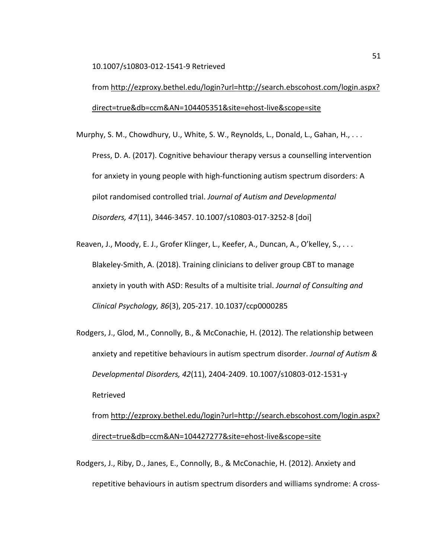10.1007/s10803-012-1541-9 Retrieved

from [http://ezproxy.bethel.edu/login?url=http://search.ebscohost.com/login.aspx?](http://ezproxy.bethel.edu/login?url=http://search.ebscohost.com/login.aspx?direct=true&db=ccm&AN=104405351&site=ehost-live&scope=site) [direct=true&db=ccm&AN=104405351&site=ehost-live&scope=site](http://ezproxy.bethel.edu/login?url=http://search.ebscohost.com/login.aspx?direct=true&db=ccm&AN=104405351&site=ehost-live&scope=site)

Murphy, S. M., Chowdhury, U., White, S. W., Reynolds, L., Donald, L., Gahan, H., . . . Press, D. A. (2017). Cognitive behaviour therapy versus a counselling intervention for anxiety in young people with high-functioning autism spectrum disorders: A pilot randomised controlled trial. *Journal of Autism and Developmental Disorders, 47*(11), 3446-3457. 10.1007/s10803-017-3252-8 [doi]

Reaven, J., Moody, E. J., Grofer Klinger, L., Keefer, A., Duncan, A., O'kelley, S., . . . Blakeley-Smith, A. (2018). Training clinicians to deliver group CBT to manage anxiety in youth with ASD: Results of a multisite trial. *Journal of Consulting and Clinical Psychology, 86*(3), 205-217. 10.1037/ccp0000285

Rodgers, J., Glod, M., Connolly, B., & McConachie, H. (2012). The relationship between anxiety and repetitive behaviours in autism spectrum disorder. *Journal of Autism & Developmental Disorders, 42*(11), 2404-2409. 10.1007/s10803-012-1531-y Retrieved

from [http://ezproxy.bethel.edu/login?url=http://search.ebscohost.com/login.aspx?](http://ezproxy.bethel.edu/login?url=http://search.ebscohost.com/login.aspx?direct=true&db=ccm&AN=104427277&site=ehost-live&scope=site) [direct=true&db=ccm&AN=104427277&site=ehost-live&scope=site](http://ezproxy.bethel.edu/login?url=http://search.ebscohost.com/login.aspx?direct=true&db=ccm&AN=104427277&site=ehost-live&scope=site)

Rodgers, J., Riby, D., Janes, E., Connolly, B., & McConachie, H. (2012). Anxiety and repetitive behaviours in autism spectrum disorders and williams syndrome: A cross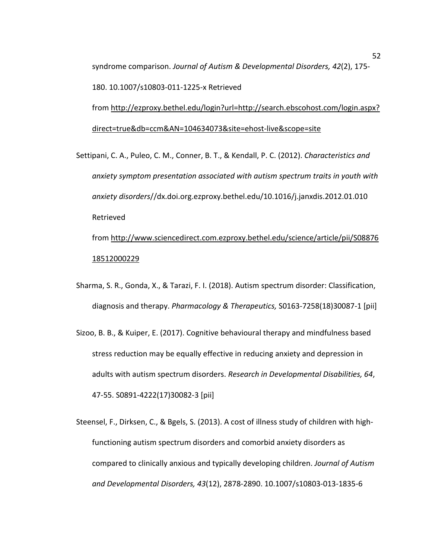syndrome comparison. *Journal of Autism & Developmental Disorders, 42*(2), 175- 180. 10.1007/s10803-011-1225-x Retrieved

from [http://ezproxy.bethel.edu/login?url=http://search.ebscohost.com/login.aspx?](http://ezproxy.bethel.edu/login?url=http://search.ebscohost.com/login.aspx?direct=true&db=ccm&AN=104634073&site=ehost-live&scope=site) [direct=true&db=ccm&AN=104634073&site=ehost-live&scope=site](http://ezproxy.bethel.edu/login?url=http://search.ebscohost.com/login.aspx?direct=true&db=ccm&AN=104634073&site=ehost-live&scope=site)

Settipani, C. A., Puleo, C. M., Conner, B. T., & Kendall, P. C. (2012). *Characteristics and anxiety symptom presentation associated with autism spectrum traits in youth with anxiety disorders*//dx.doi.org.ezproxy.bethel.edu/10.1016/j.janxdis.2012.01.010 Retrieved

from [http://www.sciencedirect.com.ezproxy.bethel.edu/science/article/pii/S08876](http://www.sciencedirect.com.ezproxy.bethel.edu/science/article/pii/S0887618512000229) [18512000229](http://www.sciencedirect.com.ezproxy.bethel.edu/science/article/pii/S0887618512000229)

- Sharma, S. R., Gonda, X., & Tarazi, F. I. (2018). Autism spectrum disorder: Classification, diagnosis and therapy. *Pharmacology & Therapeutics,* S0163-7258(18)30087-1 [pii]
- Sizoo, B. B., & Kuiper, E. (2017). Cognitive behavioural therapy and mindfulness based stress reduction may be equally effective in reducing anxiety and depression in adults with autism spectrum disorders. *Research in Developmental Disabilities, 64*, 47-55. S0891-4222(17)30082-3 [pii]
- Steensel, F., Dirksen, C., & Bgels, S. (2013). A cost of illness study of children with highfunctioning autism spectrum disorders and comorbid anxiety disorders as compared to clinically anxious and typically developing children. *Journal of Autism and Developmental Disorders, 43*(12), 2878-2890. 10.1007/s10803-013-1835-6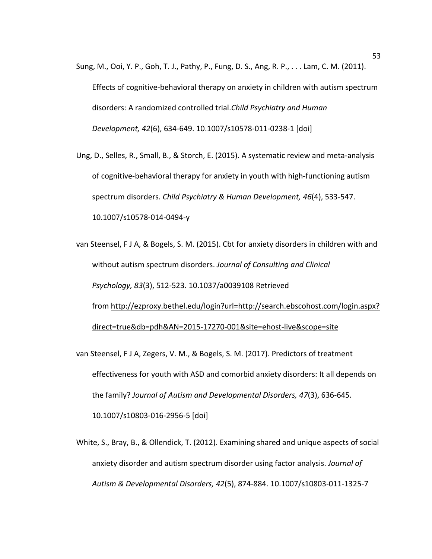- Sung, M., Ooi, Y. P., Goh, T. J., Pathy, P., Fung, D. S., Ang, R. P., . . . Lam, C. M. (2011). Effects of cognitive-behavioral therapy on anxiety in children with autism spectrum disorders: A randomized controlled trial.*Child Psychiatry and Human Development, 42*(6), 634-649. 10.1007/s10578-011-0238-1 [doi]
- Ung, D., Selles, R., Small, B., & Storch, E. (2015). A systematic review and meta-analysis of cognitive-behavioral therapy for anxiety in youth with high-functioning autism spectrum disorders. *Child Psychiatry & Human Development, 46*(4), 533-547. 10.1007/s10578-014-0494-y
- van Steensel, F J A, & Bogels, S. M. (2015). Cbt for anxiety disorders in children with and without autism spectrum disorders. *Journal of Consulting and Clinical Psychology, 83*(3), 512-523. 10.1037/a0039108 Retrieved from [http://ezproxy.bethel.edu/login?url=http://search.ebscohost.com/login.aspx?](http://ezproxy.bethel.edu/login?url=http://search.ebscohost.com/login.aspx?direct=true&db=pdh&AN=2015-17270-001&site=ehost-live&scope=site) [direct=true&db=pdh&AN=2015-17270-001&site=ehost-live&scope=site](http://ezproxy.bethel.edu/login?url=http://search.ebscohost.com/login.aspx?direct=true&db=pdh&AN=2015-17270-001&site=ehost-live&scope=site)
- van Steensel, F J A, Zegers, V. M., & Bogels, S. M. (2017). Predictors of treatment effectiveness for youth with ASD and comorbid anxiety disorders: It all depends on the family? *Journal of Autism and Developmental Disorders, 47*(3), 636-645. 10.1007/s10803-016-2956-5 [doi]
- White, S., Bray, B., & Ollendick, T. (2012). Examining shared and unique aspects of social anxiety disorder and autism spectrum disorder using factor analysis. *Journal of Autism & Developmental Disorders, 42*(5), 874-884. 10.1007/s10803-011-1325-7